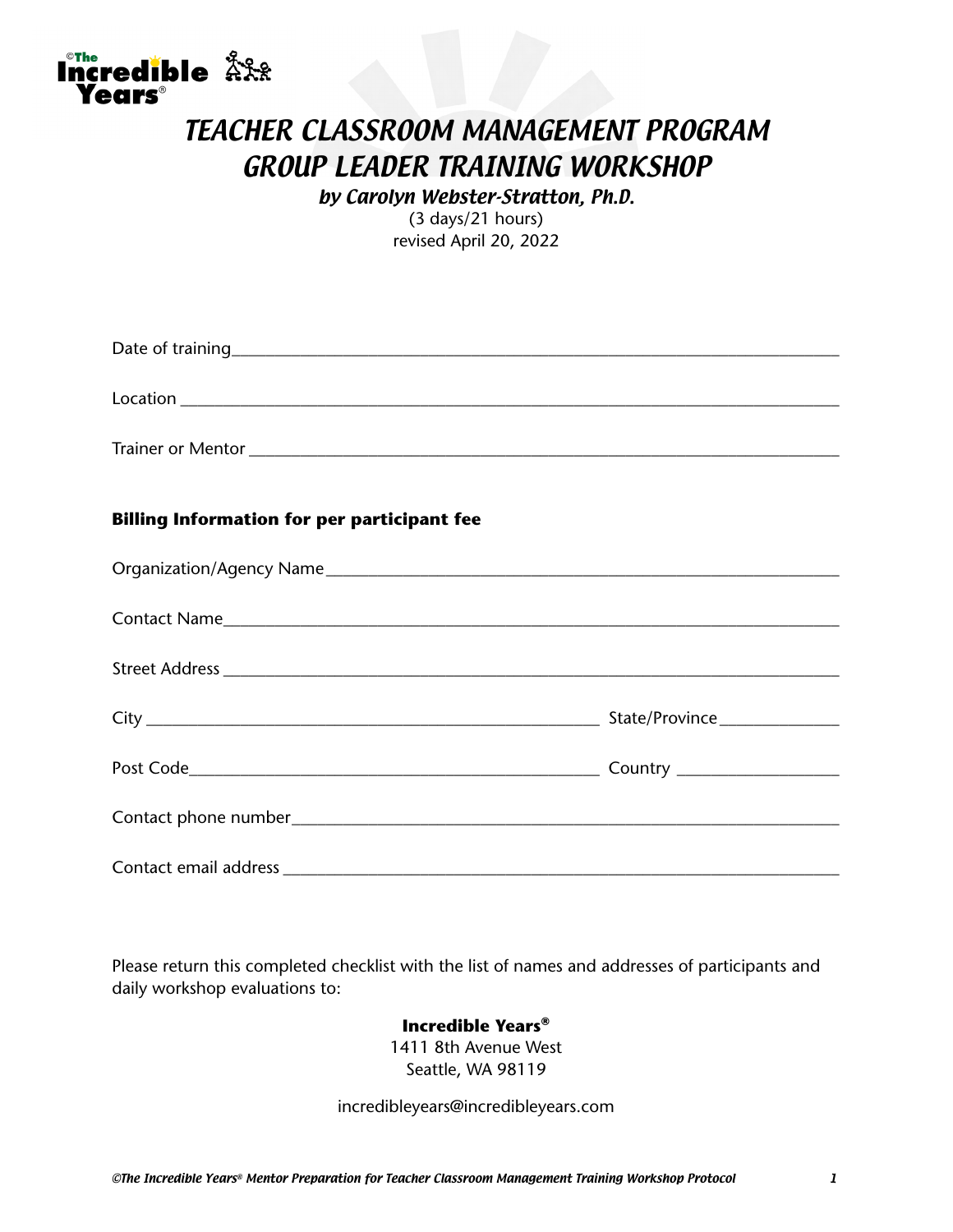

Incredible AX

by Carolyn Webster-Stratton, Ph.D. (3 days/21 hours) revised April 20, 2022

| <b>Billing Information for per participant fee</b> |  |
|----------------------------------------------------|--|
|                                                    |  |
|                                                    |  |
|                                                    |  |
|                                                    |  |
|                                                    |  |
|                                                    |  |
|                                                    |  |

Please return this completed checklist with the list of names and addresses of participants and daily workshop evaluations to:

#### **Incredible Years®**

1411 8th Avenue West Seattle, WA 98119

incredibleyears@incredibleyears.com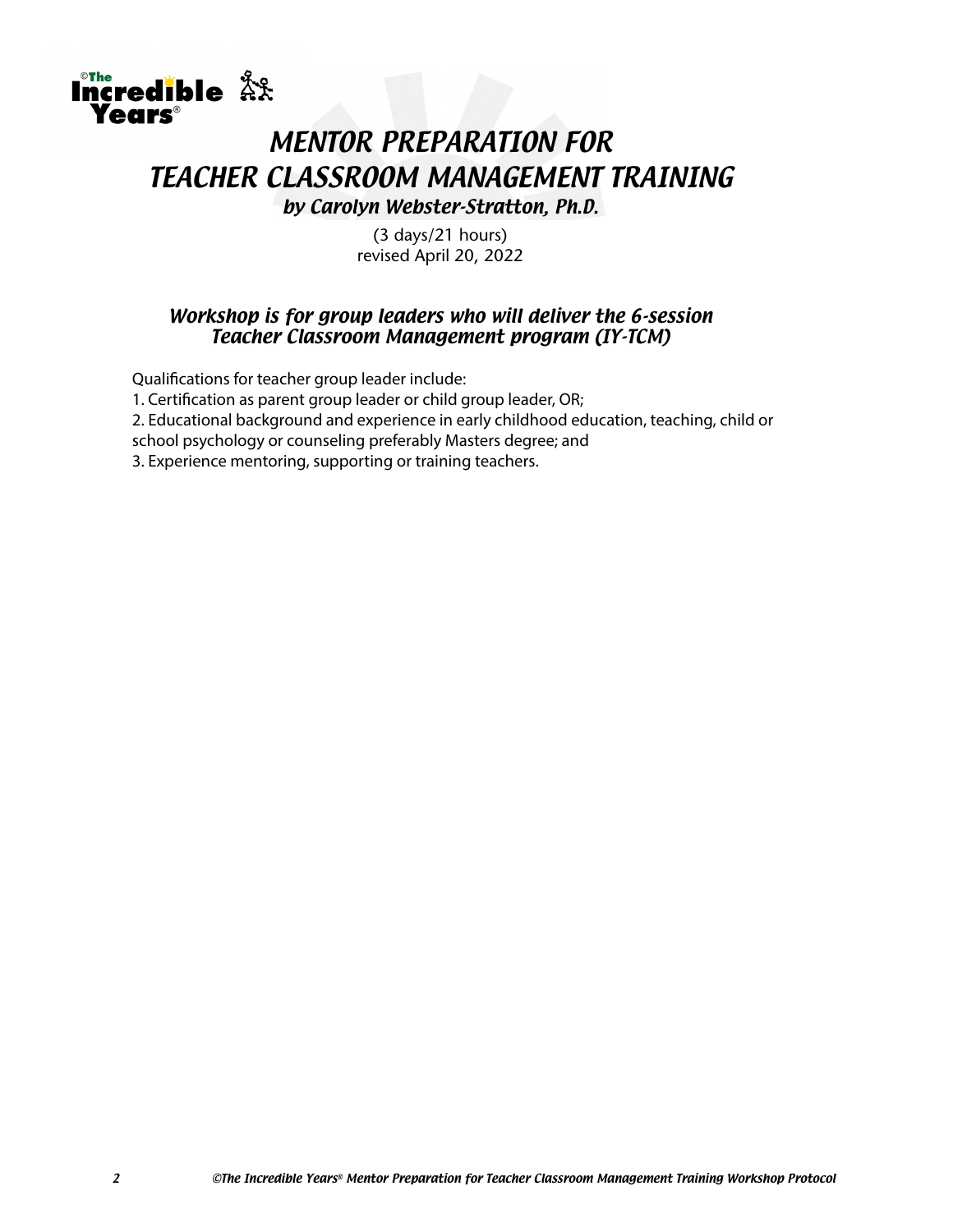# Incredible AX **Parks**® MENTOR PREPARATION FOR TEACHER CLASSROOM MANAGEMENT TRAINING by Carolyn Webster-Stratton, Ph.D.

(3 days/21 hours) revised April 20, 2022

#### Workshop is for group leaders who will deliver the 6-session Teacher Classroom Management program (IY-TCM)

Qualifications for teacher group leader include:

1. Certification as parent group leader or child group leader, OR;

2. Educational background and experience in early childhood education, teaching, child or

school psychology or counseling preferably Masters degree; and

3. Experience mentoring, supporting or training teachers.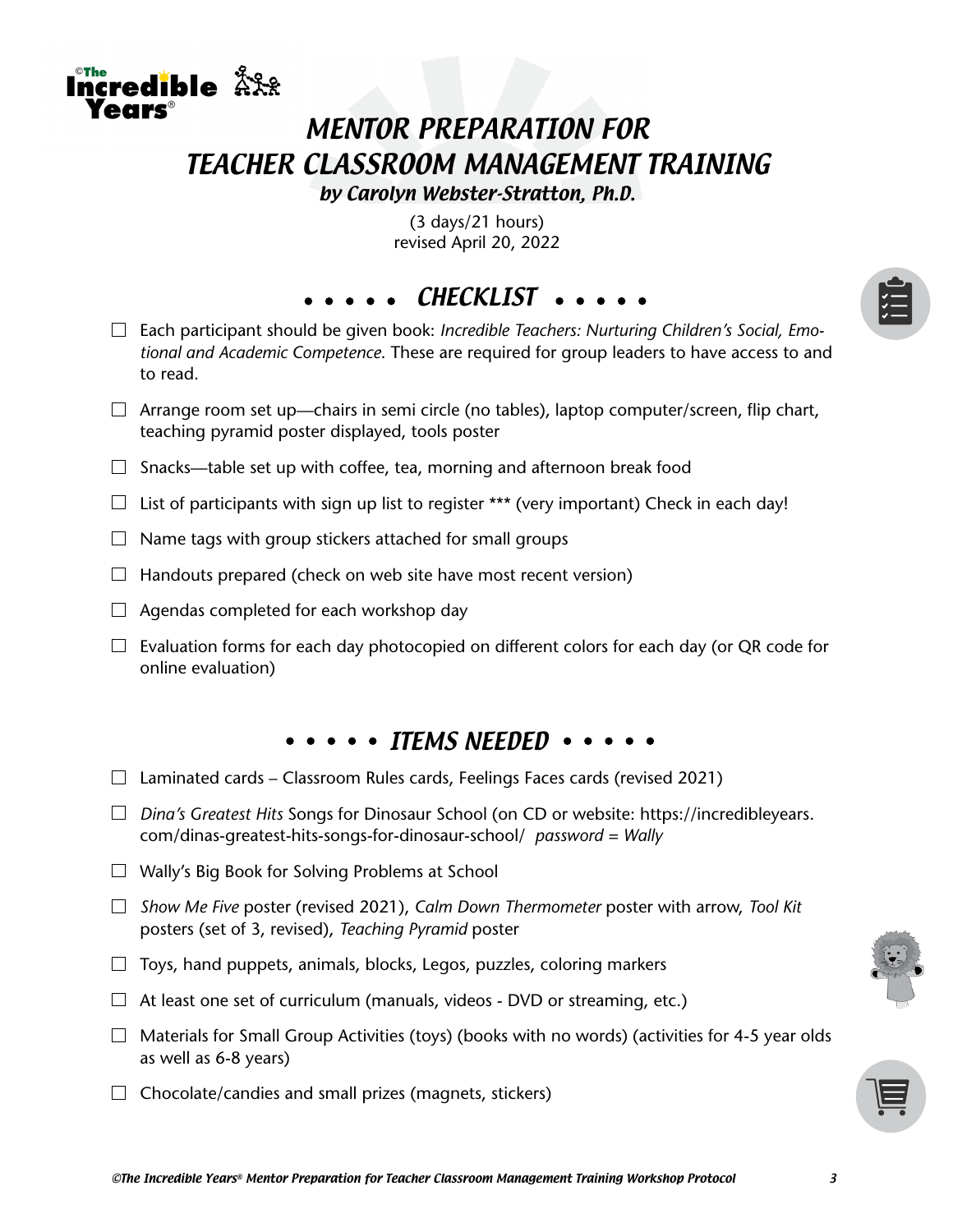# MENTOR PREPARATION FOR TEACHER CLASSROOM MANAGEMENT TRAINING

by Carolyn Webster-Stratton, Ph.D.

(3 days/21 hours) revised April 20, 2022

CHECKLIST ...

- Each participant should be given book: *Incredible Teachers: Nurturing Children's Social, Emotional and Academic Competence*. These are required for group leaders to have access to and to read.
- $\Box$  Arrange room set up—chairs in semi circle (no tables), laptop computer/screen, flip chart, teaching pyramid poster displayed, tools poster
- $\Box$  Snacks—table set up with coffee, tea, morning and afternoon break food
- $\Box$  List of participants with sign up list to register \*\*\* (very important) Check in each day!
- $\Box$  Name tags with group stickers attached for small groups
- $\Box$  Handouts prepared (check on web site have most recent version)
- $\Box$  Agendas completed for each workshop day

The credible  $\mathring{\mathbb{R}}$ XX

 $\Box$  Evaluation forms for each day photocopied on different colors for each day (or QR code for online evaluation)

#### $\cdots$   $\cdots$  items needed  $\cdots$

- $\Box$  Laminated cards Classroom Rules cards, Feelings Faces cards (revised 2021)
- *Dina's Greatest Hits* Songs for Dinosaur School (on CD or website: https://incredibleyears. com/dinas-greatest-hits-songs-for-dinosaur-school/ *password = Wally*
- $\Box$  Wally's Big Book for Solving Problems at School
- *Show Me Five* poster (revised 2021), *Calm Down Thermometer* poster with arrow, *Tool Kit*  posters (set of 3, revised), *Teaching Pyramid* poster
- $\Box$  Toys, hand puppets, animals, blocks, Legos, puzzles, coloring markers
- $\Box$  At least one set of curriculum (manuals, videos DVD or streaming, etc.)
- $\Box$  Materials for Small Group Activities (toys) (books with no words) (activities for 4-5 year olds as well as 6-8 years)
- $\Box$  Chocolate/candies and small prizes (magnets, stickers)

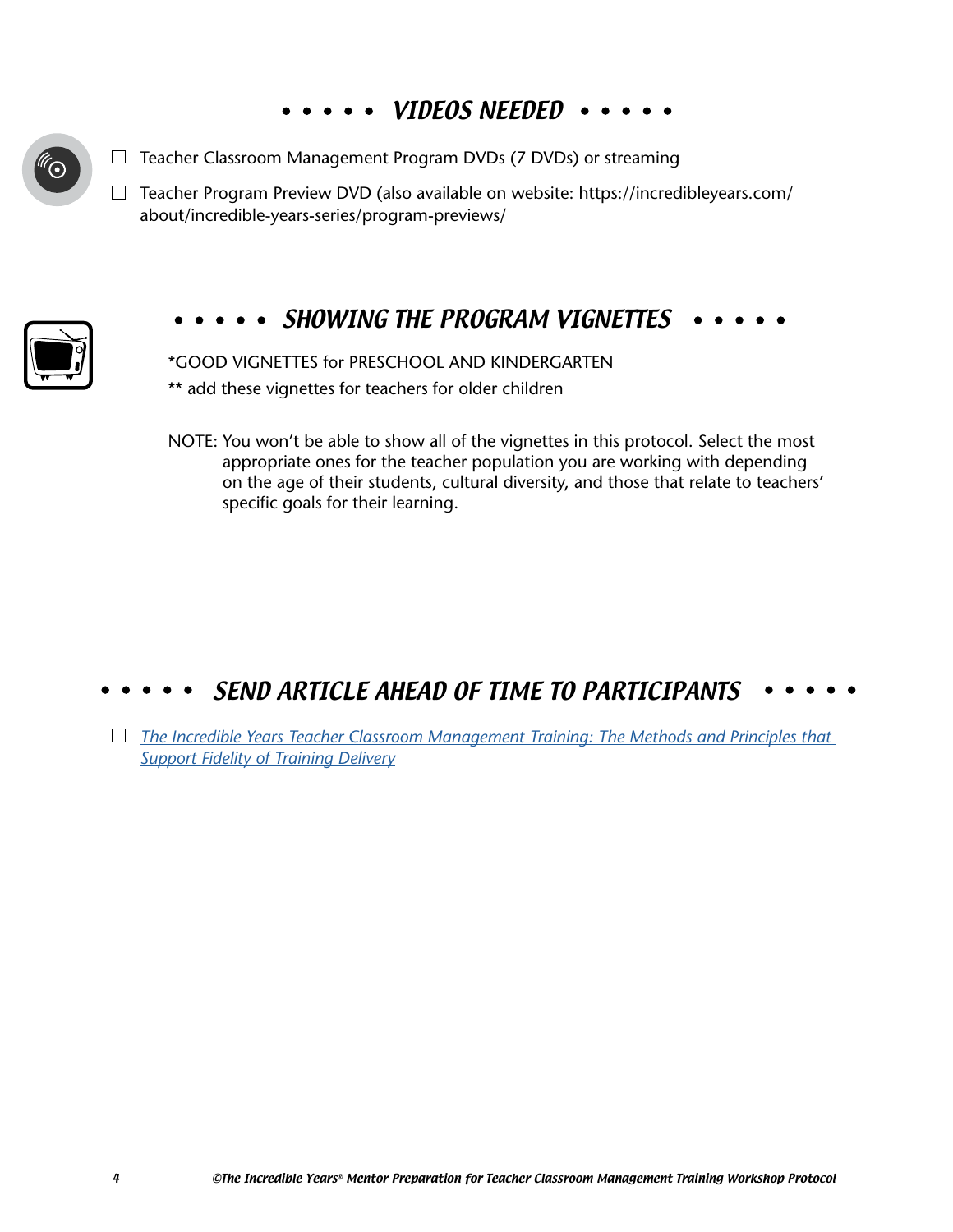# •••• VIDEOS NEEDED •

 $\Box$  Teacher Classroom Management Program DVDs (7 DVDs) or streaming

 $\Box$ Teacher Program Preview DVD (also available on website: https://incredibleyears.com/ about/incredible-years-series/program-previews/



## SHOWING THE PROGRAM VIGNETTES

\*GOOD VIGNETTES for PRESCHOOL AND KINDERGARTEN \*\* add these vignettes for teachers for older children

NOTE: You won't be able to show all of the vignettes in this protocol. Select the most appropriate ones for the teacher population you are working with depending on the age of their students, cultural diversity, and those that relate to teachers' specific goals for their learning.

# SEND ARTICLE AHEAD OF TIME TO PARTICIPANTS

*[The Incredible Years Teacher Classroom Management Training: The Methods and Principles that](https://incredibleyears.com/article/the-incredible-years-teacher-training-the-methods-and-principles-that-support-adaptation-and-dissemination-with-high-fidelity/)  [Support Fidelity of Training Delivery](https://incredibleyears.com/article/the-incredible-years-teacher-training-the-methods-and-principles-that-support-adaptation-and-dissemination-with-high-fidelity/)*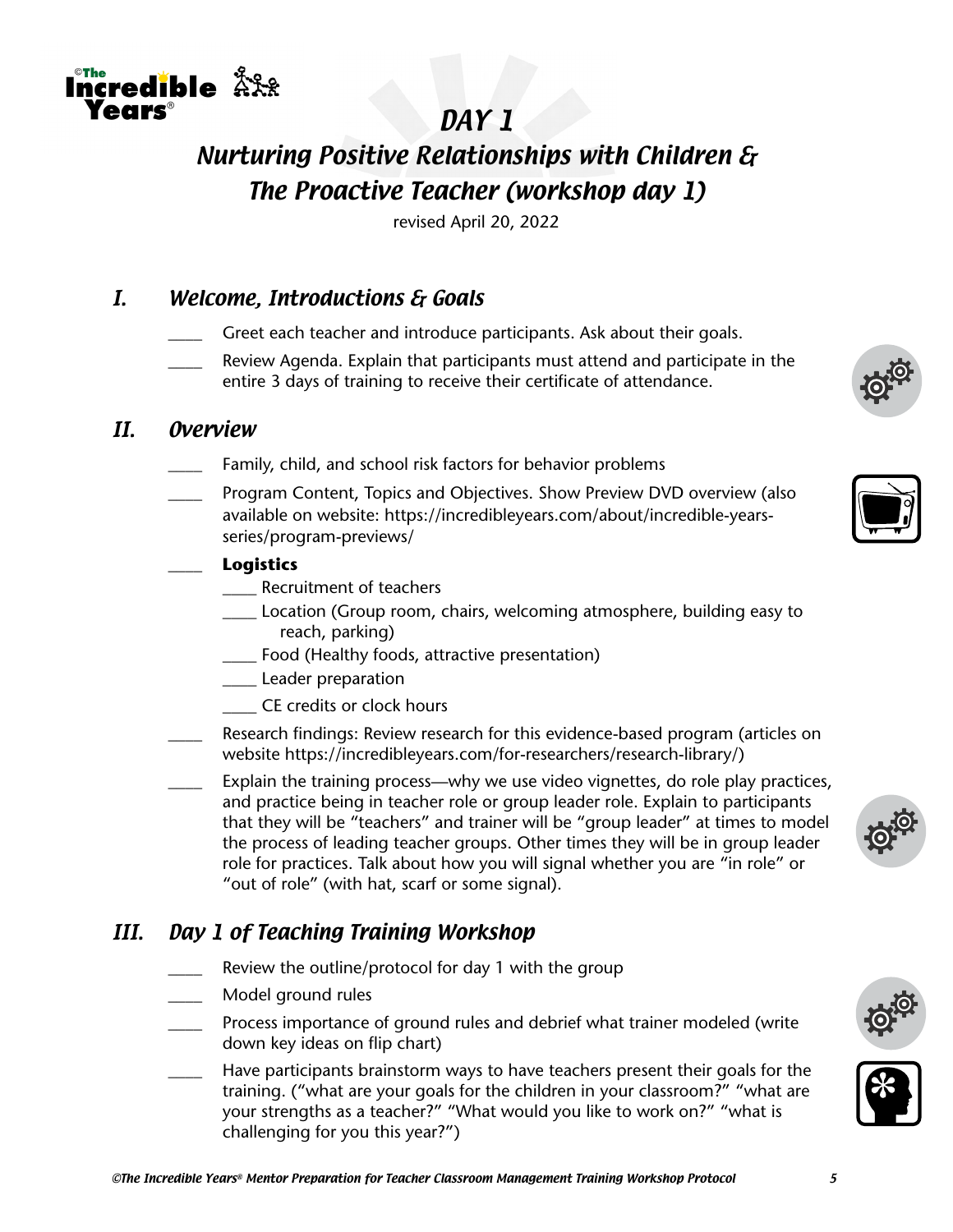

# Nurturing Positive Relationships with Children & The Proactive Teacher (workshop day 1)

revised April 20, 2022

## I. Welcome, Introductions & Goals

- Greet each teacher and introduce participants. Ask about their goals.
- Review Agenda. Explain that participants must attend and participate in the entire 3 days of training to receive their certificate of attendance.

#### II. Overview

<u>™e</u><br>ncredible 솠옸

 $\circ$ The

**PARS** 

- Family, child, and school risk factors for behavior problems
- \_\_\_\_ Program Content, Topics and Objectives. Show Preview DVD overview (also available on website: https://incredibleyears.com/about/incredible-yearsseries/program-previews/

#### \_\_\_\_ **Logistics**

- \_\_\_\_ Recruitment of teachers
- \_\_\_\_ Location (Group room, chairs, welcoming atmosphere, building easy to reach, parking)
- \_\_\_\_ Food (Healthy foods, attractive presentation)
- **Leader preparation**
- \_\_\_\_ CE credits or clock hours
- Research findings: Review research for this evidence-based program (articles on website https://incredibleyears.com/for-researchers/research-library/)
- Explain the training process—why we use video vignettes, do role play practices, and practice being in teacher role or group leader role. Explain to participants that they will be "teachers" and trainer will be "group leader" at times to model the process of leading teacher groups. Other times they will be in group leader role for practices. Talk about how you will signal whether you are "in role" or "out of role" (with hat, scarf or some signal).

## III. Day 1 of Teaching Training Workshop

- Review the outline/protocol for day 1 with the group
- \_\_\_\_ Model ground rules
- \_\_\_\_ Process importance of ground rules and debrief what trainer modeled (write down key ideas on flip chart)
- Have participants brainstorm ways to have teachers present their goals for the training. ("what are your goals for the children in your classroom?" "what are your strengths as a teacher?" "What would you like to work on?" "what is challenging for you this year?")









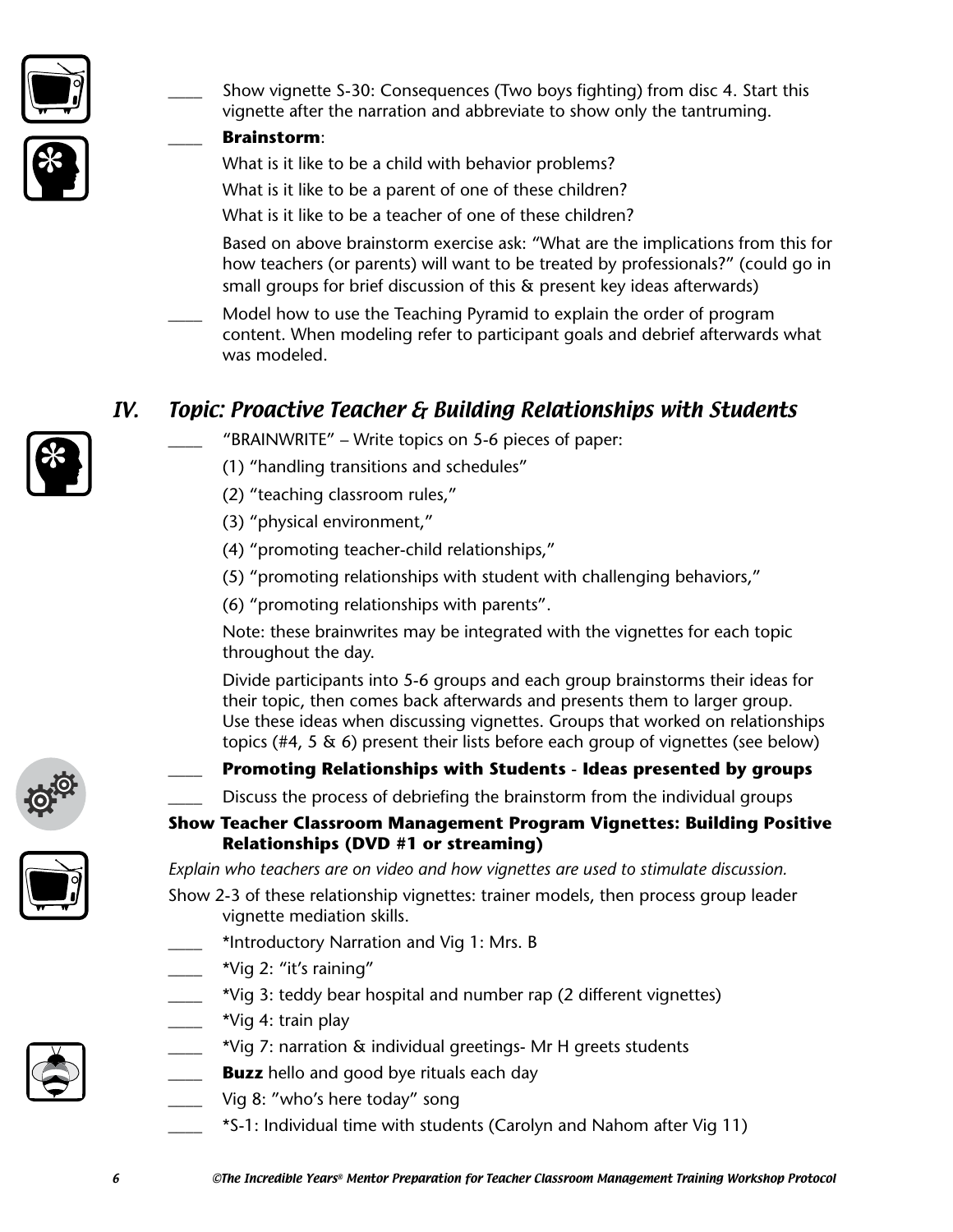

\_\_\_\_ Show vignette S-30: Consequences (Two boys fighting) from disc 4. Start this vignette after the narration and abbreviate to show only the tantruming.

#### \_\_\_\_ **Brainstorm**:

What is it like to be a child with behavior problems?

What is it like to be a parent of one of these children?

What is it like to be a teacher of one of these children?

Based on above brainstorm exercise ask: "What are the implications from this for how teachers (or parents) will want to be treated by professionals?" (could go in small groups for brief discussion of this & present key ideas afterwards)

Model how to use the Teaching Pyramid to explain the order of program content. When modeling refer to participant goals and debrief afterwards what was modeled.

# IV. Topic: Proactive Teacher & Building Relationships with Students

- "BRAINWRITE" Write topics on 5-6 pieces of paper:
- (1) "handling transitions and schedules"
- (2) "teaching classroom rules,"
- (3) "physical environment,"
- (4) "promoting teacher-child relationships,"
- (5) "promoting relationships with student with challenging behaviors,"
- (6) "promoting relationships with parents".

Note: these brainwrites may be integrated with the vignettes for each topic throughout the day.

Divide participants into 5-6 groups and each group brainstorms their ideas for their topic, then comes back afterwards and presents them to larger group. Use these ideas when discussing vignettes. Groups that worked on relationships topics (#4, 5 & 6) present their lists before each group of vignettes (see below)



#### \_\_\_\_ **Promoting Relationships with Students - Ideas presented by groups**

Discuss the process of debriefing the brainstorm from the individual groups

#### **Show Teacher Classroom Management Program Vignettes: Building Positive Relationships (DVD #1 or streaming)**

*Explain who teachers are on video and how vignettes are used to stimulate discussion.*

- Show 2-3 of these relationship vignettes: trainer models, then process group leader vignette mediation skills.
	- \*Introductory Narration and Vig 1: Mrs. B
	- \_\_\_\_ \*Vig 2: "it's raining"
	- \*Vig 3: teddy bear hospital and number rap (2 different vignettes)
- \*Vig 4: train play
- \_\_\_\_ \*Vig 7: narration & individual greetings- Mr H greets students
- **Buzz** hello and good bye rituals each day
- Vig 8: "who's here today" song
	- \_\_\_\_ \*S-1: Individual time with students (Carolyn and Nahom after Vig 11)



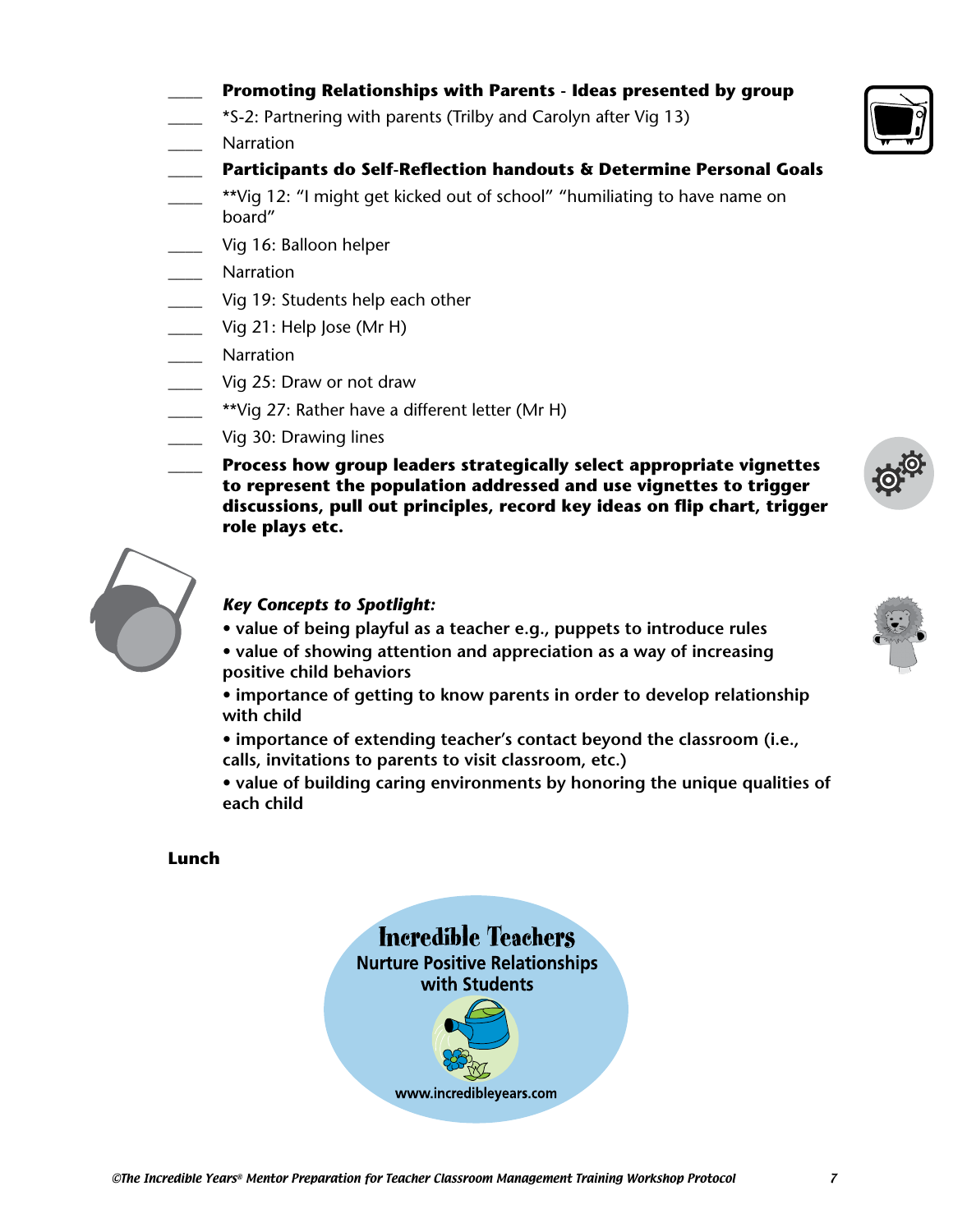- \_\_\_\_ **Promoting Relationships with Parents Ideas presented by group**
- \_\_\_\_ \*S-2: Partnering with parents (Trilby and Carolyn after Vig 13)
- \_\_\_\_ Narration
	- \_\_\_\_ **Participants do Self-Reflection handouts & Determine Personal Goals**
- \*\*Vig 12: "I might get kicked out of school" "humiliating to have name on board"
- Vig 16: Balloon helper
- \_\_\_\_ Narration
- Vig 19: Students help each other
- Vig 21: Help Jose (Mr H)
- \_\_\_\_ Narration
- \_\_\_\_ Vig 25: Draw or not draw
- \*\*Vig 27: Rather have a different letter (Mr H)
- \_\_\_\_ Vig 30: Drawing lines
	- \_\_\_\_ **Process how group leaders strategically select appropriate vignettes to represent the population addressed and use vignettes to trigger discussions, pull out principles, record key ideas on flip chart, trigger role plays etc.**



#### *Key Concepts to Spotlight:*

- **value of being playful as a teacher e.g., puppets to introduce rules**
- **value of showing attention and appreciation as a way of increasing positive child behaviors**
- **importance of getting to know parents in order to develop relationship with child**
- **importance of extending teacher's contact beyond the classroom (i.e., calls, invitations to parents to visit classroom, etc.)**
- **value of building caring environments by honoring the unique qualities of each child**

#### **Lunch**





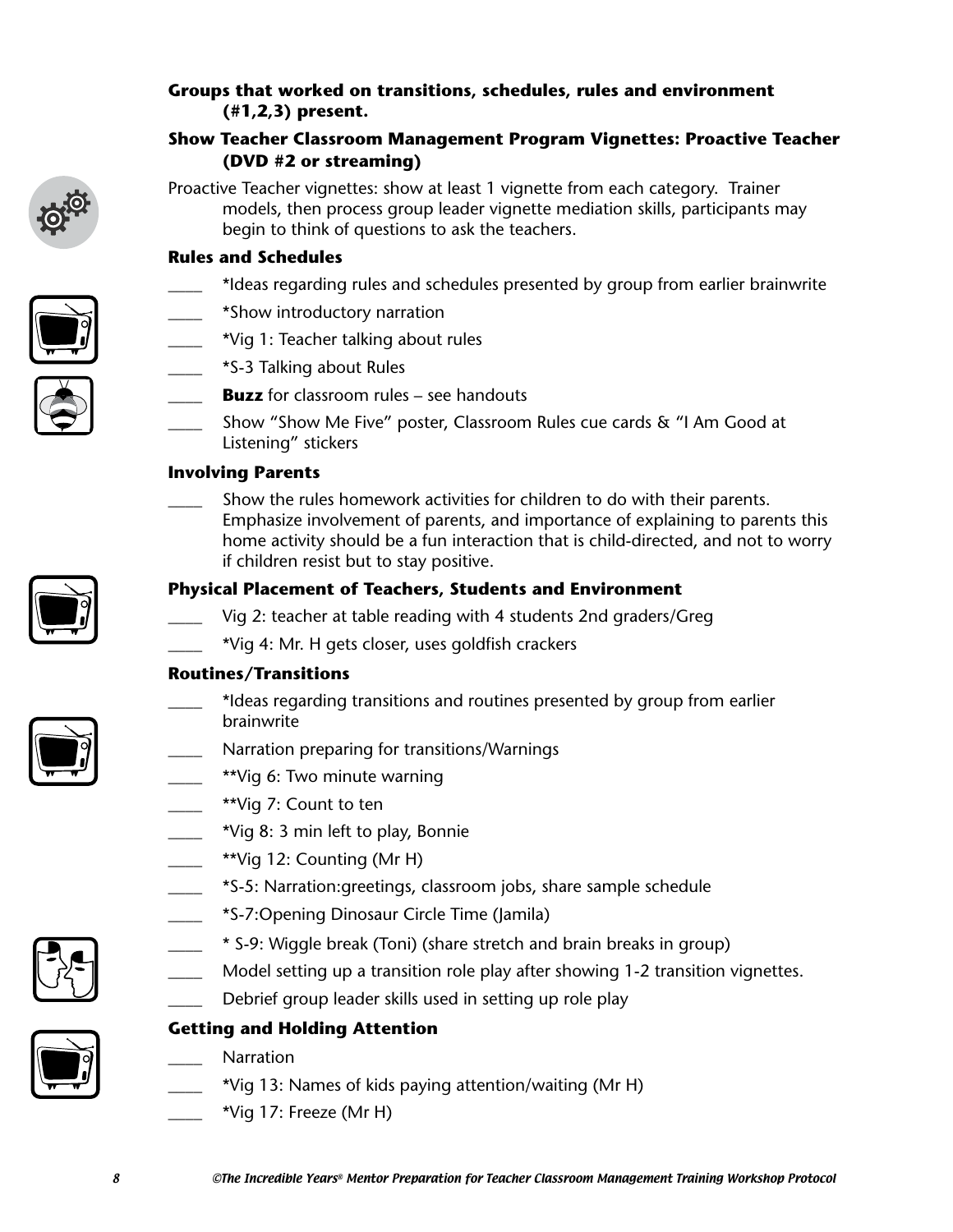#### **Groups that worked on transitions, schedules, rules and environment (#1,2,3) present.**

#### **Show Teacher Classroom Management Program Vignettes: Proactive Teacher (DVD #2 or streaming)**



Proactive Teacher vignettes: show at least 1 vignette from each category. Trainer models, then process group leader vignette mediation skills, participants may begin to think of questions to ask the teachers.

#### **Rules and Schedules**

- **\_\_\_\_** \*Ideas regarding rules and schedules presented by group from earlier brainwrite
- **\_\_\_\_** \*Show introductory narration
- **\_\_\_\_** \*Vig 1: Teacher talking about rules
- **\_\_\_\_** \*S-3 Talking about Rules
- **Buzz** for classroom rules see handouts
- **\_\_\_\_** Show "Show Me Five" poster, Classroom Rules cue cards & "I Am Good at Listening" stickers

#### **Involving Parents**

**\_\_\_\_** Show the rules homework activities for children to do with their parents. Emphasize involvement of parents, and importance of explaining to parents this home activity should be a fun interaction that is child-directed, and not to worry if children resist but to stay positive.

#### **Physical Placement of Teachers, Students and Environment**

- **\_\_\_\_** Vig 2: teacher at table reading with 4 students 2nd graders/Greg
- **\_\_\_\_** \*Vig 4: Mr. H gets closer, uses goldfish crackers

#### **Routines/Transitions**

- **\_\_\_\_** \*Ideas regarding transitions and routines presented by group from earlier brainwrite
- **\_\_\_\_** Narration preparing for transitions/Warnings
- **\_\_\_\_** \*\*Vig 6: Two minute warning
- **\_\_\_\_** \*\*Vig 7: Count to ten
- **\_\_\_\_** \*Vig 8: 3 min left to play, Bonnie
- **\_\_\_\_** \*\*Vig 12: Counting (Mr H)
- **\_\_\_\_** \*S-5: Narration:greetings, classroom jobs, share sample schedule
- **\_\_\_\_** \*S-7:Opening Dinosaur Circle Time (Jamila)
	- **\_\_\_\_** \* S-9: Wiggle break (Toni) (share stretch and brain breaks in group)
- Model setting up a transition role play after showing 1-2 transition vignettes.
- Debrief group leader skills used in setting up role play

## **Getting and Holding Attention**

- **\_\_\_\_** Narration
- **\_\_\_\_** \*Vig 13: Names of kids paying attention/waiting (Mr H)
	- **\_\_\_\_** \*Vig 17: Freeze (Mr H)







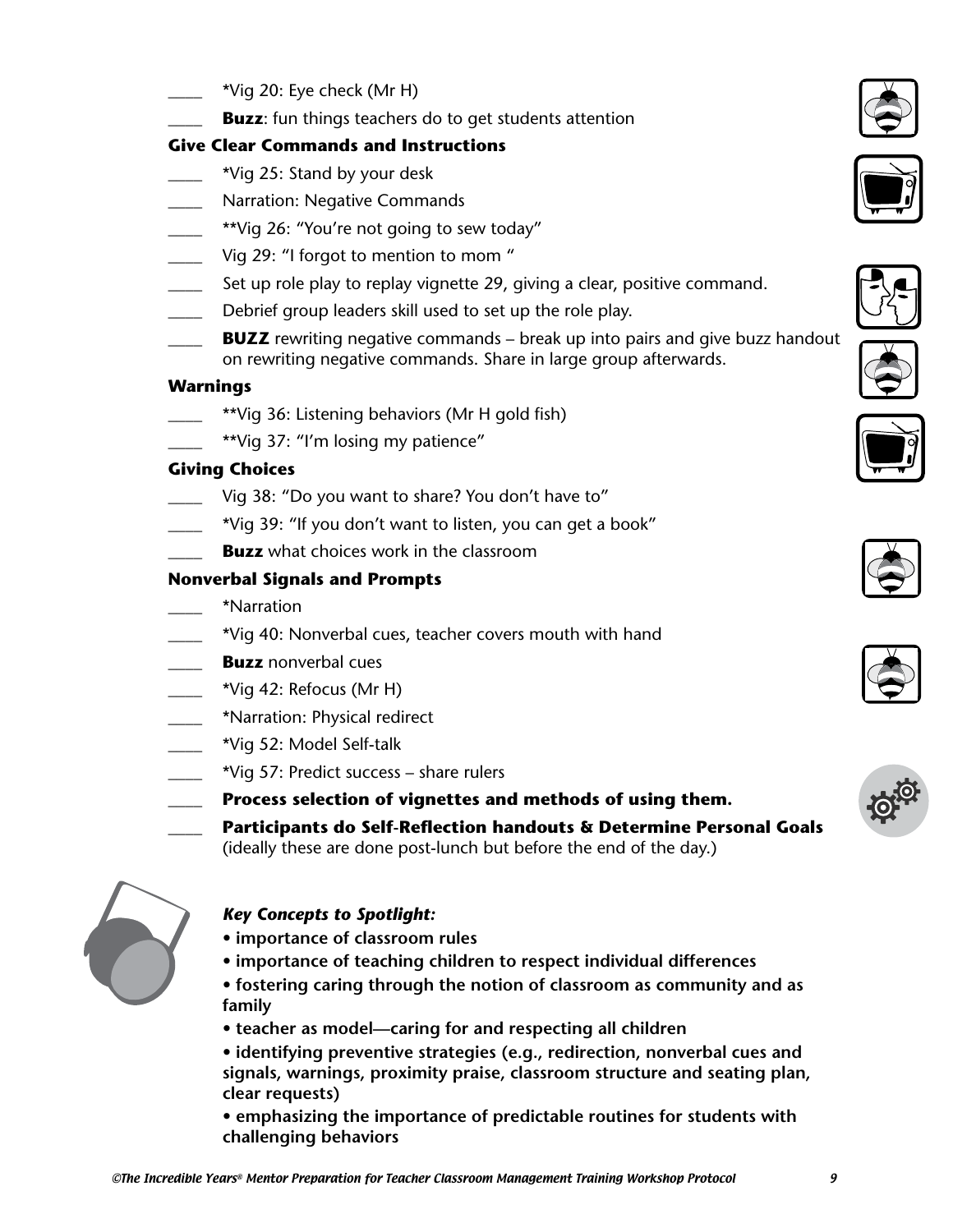- **\_\_\_\_** \*Vig 20: Eye check (Mr H)
- **Buzz**: fun things teachers do to get students attention

#### **Give Clear Commands and Instructions**

- **\_\_\_\_** \*Vig 25: Stand by your desk
- **\_\_\_\_** Narration: Negative Commands
- \*\*Vig 26: "You're not going to sew today"
- **\_\_\_\_** Vig 29: "I forgot to mention to mom "
- \_\_\_\_ Set up role play to replay vignette 29, giving a clear, positive command.
- Debrief group leaders skill used to set up the role play.
- **BUZZ** rewriting negative commands break up into pairs and give buzz handout on rewriting negative commands. Share in large group afterwards.

#### **Warnings**

- \_\_\_\_ \*\*Vig 36: Listening behaviors (Mr H gold fish)
	- \*\*Vig 37: "I'm losing my patience"

#### **Giving Choices**

- Vig 38: "Do you want to share? You don't have to"
- \_\_\_\_ \*Vig 39: "If you don't want to listen, you can get a book"
- **Buzz** what choices work in the classroom

#### **Nonverbal Signals and Prompts**

- \_\_\_\_ \*Narration
	- \*Vig 40: Nonverbal cues, teacher covers mouth with hand
- **Buzz** nonverbal cues
- \_\_\_\_ \*Vig 42: Refocus (Mr H)
- \_\_\_\_ \*Narration: Physical redirect
- \_\_\_\_ \*Vig 52: Model Self-talk
- \_\_\_\_ \*Vig 57: Predict success share rulers
	- \_\_\_\_ **Process selection of vignettes and methods of using them.**
- \_\_\_\_ **Participants do Self-Reflection handouts & Determine Personal Goals** 
	- (ideally these are done post-lunch but before the end of the day.)



#### *Key Concepts to Spotlight:*

- **importance of classroom rules**
- **importance of teaching children to respect individual differences**
- **fostering caring through the notion of classroom as community and as family**
- **teacher as model—caring for and respecting all children**
- **identifying preventive strategies (e.g., redirection, nonverbal cues and signals, warnings, proximity praise, classroom structure and seating plan, clear requests)**
- **emphasizing the importance of predictable routines for students with challenging behaviors**













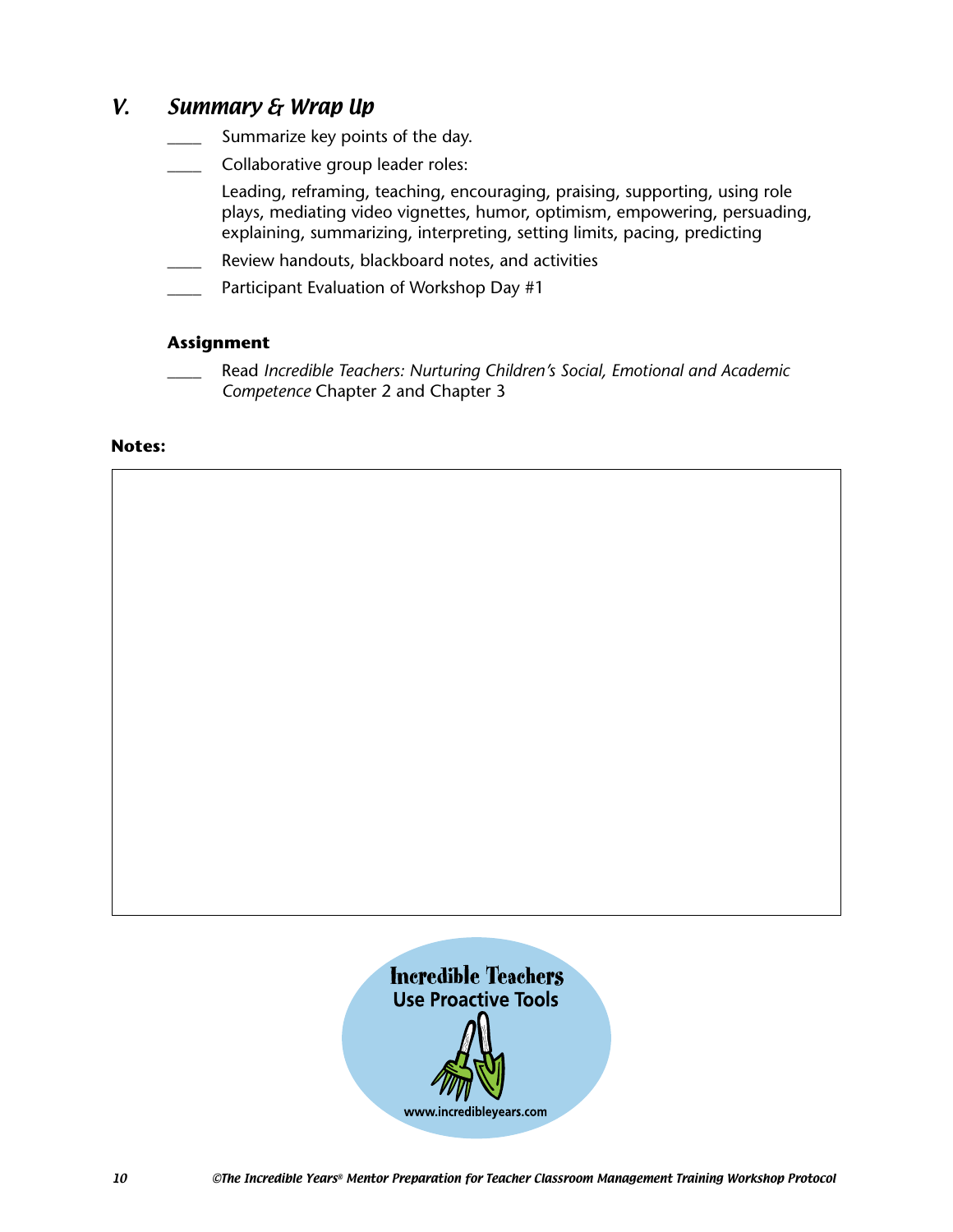## V. Summary & Wrap Up

- Summarize key points of the day.
- Collaborative group leader roles:
	- Leading, reframing, teaching, encouraging, praising, supporting, using role plays, mediating video vignettes, humor, optimism, empowering, persuading, explaining, summarizing, interpreting, setting limits, pacing, predicting
- Review handouts, blackboard notes, and activities
- Participant Evaluation of Workshop Day #1

#### **Assignment**

\_\_\_\_ Read *Incredible Teachers: Nurturing Children's Social, Emotional and Academic Competence* Chapter 2 and Chapter 3

#### **Notes:**

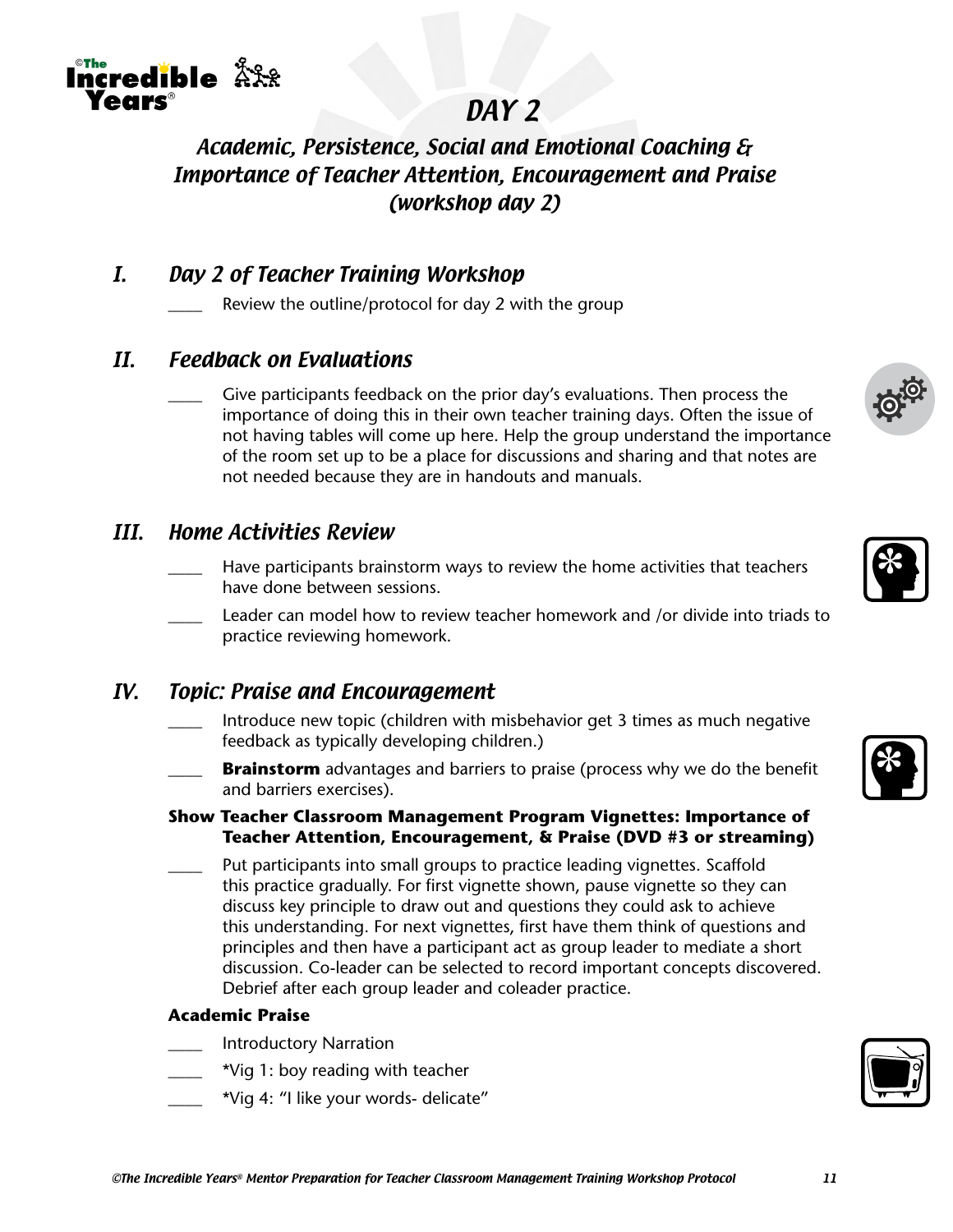

# DAY 2

# Academic, Persistence, Social and Emotional Coaching & Importance of Teacher Attention, Encouragement and Praise (workshop day 2)

## I. Day 2 of Teacher Training Workshop

Review the outline/protocol for day 2 with the group

## II. Feedback on Evaluations

Give participants feedback on the prior day's evaluations. Then process the importance of doing this in their own teacher training days. Often the issue of not having tables will come up here. Help the group understand the importance of the room set up to be a place for discussions and sharing and that notes are not needed because they are in handouts and manuals.

## III. Home Activities Review

- Have participants brainstorm ways to review the home activities that teachers have done between sessions.
- Leader can model how to review teacher homework and /or divide into triads to practice reviewing homework.

## IV. Topic: Praise and Encouragement

- \_\_\_\_ Introduce new topic (children with misbehavior get 3 times as much negative feedback as typically developing children.)
- **Brainstorm** advantages and barriers to praise (process why we do the benefit and barriers exercises).

#### **Show Teacher Classroom Management Program Vignettes: Importance of Teacher Attention, Encouragement, & Praise (DVD #3 or streaming)**

Put participants into small groups to practice leading vignettes. Scaffold this practice gradually. For first vignette shown, pause vignette so they can discuss key principle to draw out and questions they could ask to achieve this understanding. For next vignettes, first have them think of questions and principles and then have a participant act as group leader to mediate a short discussion. Co-leader can be selected to record important concepts discovered. Debrief after each group leader and coleader practice.

#### **Academic Praise**

- \_\_\_\_ Introductory Narration
	- \_\_\_\_ \*Vig 1: boy reading with teacher
- \*Vig 4: "I like your words- delicate"





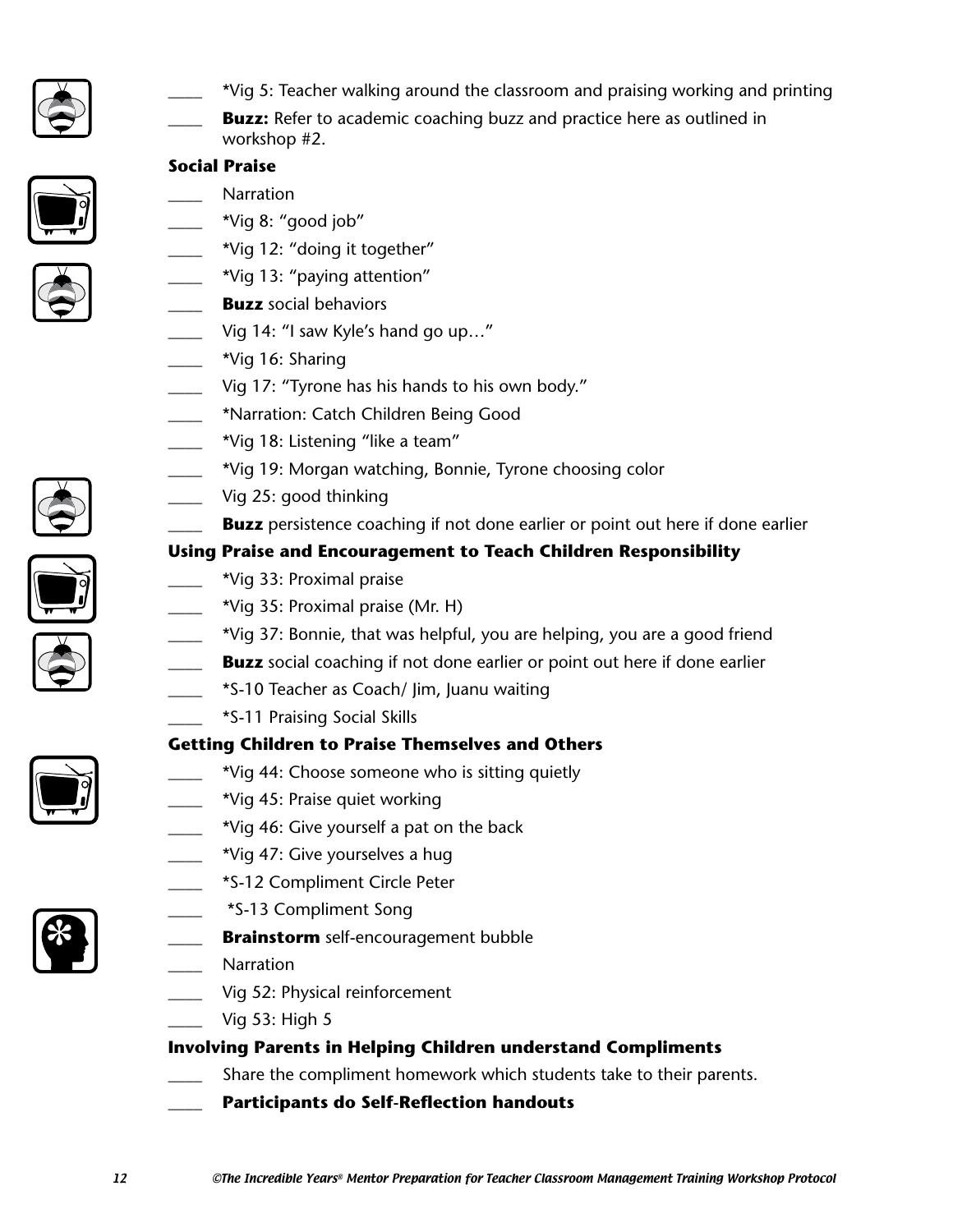

- \_\_\_\_ \*Vig 5: Teacher walking around the classroom and praising working and printing
- **Buzz:** Refer to academic coaching buzz and practice here as outlined in workshop #2.





- **Social Praise**
	- \_\_\_\_ Narration
	- \*Vig 8: "good job"
- \*Vig 12: "doing it together"
	- \*Vig 13: "paying attention"
- **Buzz** social behaviors
	- Vig 14: "I saw Kyle's hand go up..."
	- \_\_\_\_ \*Vig 16: Sharing
	- Vig 17: "Tyrone has his hands to his own body."
	- \_\_\_\_ \*Narration: Catch Children Being Good
	- \*Vig 18: Listening "like a team"
	- \_\_\_\_ \*Vig 19: Morgan watching, Bonnie, Tyrone choosing color
	- Vig 25: good thinking
		- **Buzz** persistence coaching if not done earlier or point out here if done earlier

## **Using Praise and Encouragement to Teach Children Responsibility**

- \_\_\_\_ \*Vig 33: Proximal praise
- \_\_\_\_ \*Vig 35: Proximal praise (Mr. H)
	- \_\_\_\_ \*Vig 37: Bonnie, that was helpful, you are helping, you are a good friend
- **Buzz** social coaching if not done earlier or point out here if done earlier
- \_\_\_\_ \*S-10 Teacher as Coach/ Jim, Juanu waiting
	- \_\_\_\_ \*S-11 Praising Social Skills

## **Getting Children to Praise Themselves and Others**

- \*Vig 44: Choose someone who is sitting quietly
- \_\_\_\_ \*Vig 45: Praise quiet working
- \*Vig 46: Give yourself a pat on the back
- \*Vig 47: Give yourselves a hug
- \_\_\_\_ \*S-12 Compliment Circle Peter
- \_\_\_\_ \*S-13 Compliment Song
- **Brainstorm** self-encouragement bubble
- Narration
- Vig 52: Physical reinforcement
	- Vig 53: High 5

## **Involving Parents in Helping Children understand Compliments**

- Share the compliment homework which students take to their parents.
- \_\_\_\_ **Participants do Self-Reflection handouts**



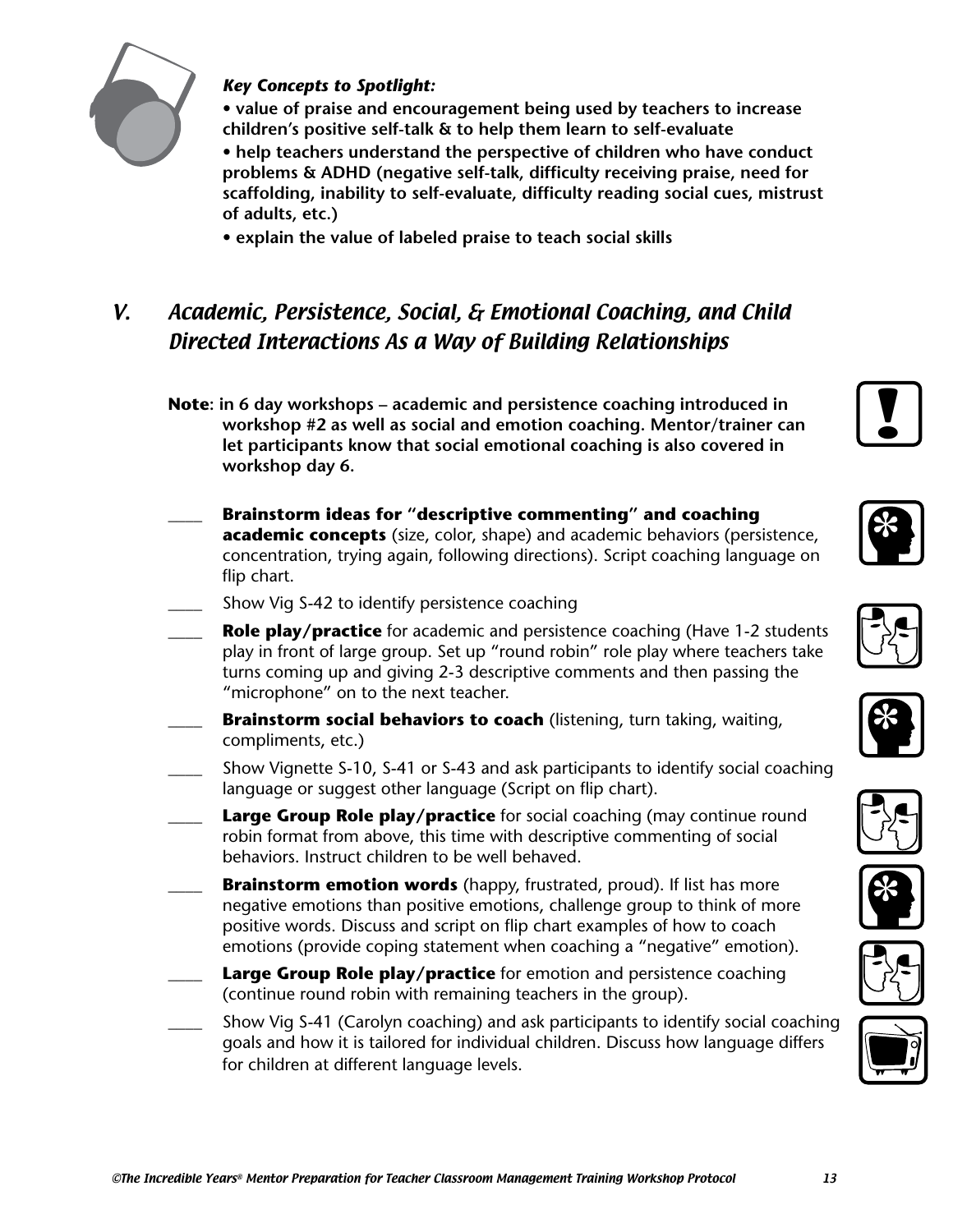

#### *Key Concepts to Spotlight:*

 **• value of praise and encouragement being used by teachers to increase children's positive self-talk & to help them learn to self-evaluate • help teachers understand the perspective of children who have conduct problems & ADHD (negative self-talk, difficulty receiving praise, need for scaffolding, inability to self-evaluate, difficulty reading social cues, mistrust of adults, etc.)**

**• explain the value of labeled praise to teach social skills**

# V. Academic, Persistence, Social, & Emotional Coaching, and Child Directed Interactions As a Way of Building Relationships

- **Note: in 6 day workshops academic and persistence coaching introduced in workshop #2 as well as social and emotion coaching. Mentor/trainer can let participants know that social emotional coaching is also covered in workshop day 6.**
- \_\_\_\_ **Brainstorm ideas for "descriptive commenting" and coaching academic concepts** (size, color, shape) and academic behaviors (persistence, concentration, trying again, following directions). Script coaching language on flip chart.
- Show Vig S-42 to identify persistence coaching
- **Role play/practice** for academic and persistence coaching (Have 1-2 students play in front of large group. Set up "round robin" role play where teachers take turns coming up and giving 2-3 descriptive comments and then passing the "microphone" on to the next teacher.
- **Brainstorm social behaviors to coach** (listening, turn taking, waiting, compliments, etc.)
- Show Vignette S-10, S-41 or S-43 and ask participants to identify social coaching language or suggest other language (Script on flip chart).
- **Large Group Role play/practice** for social coaching (may continue round robin format from above, this time with descriptive commenting of social behaviors. Instruct children to be well behaved.
- **Brainstorm emotion words** (happy, frustrated, proud). If list has more negative emotions than positive emotions, challenge group to think of more positive words. Discuss and script on flip chart examples of how to coach emotions (provide coping statement when coaching a "negative" emotion).
- Large Group Role play/practice for emotion and persistence coaching (continue round robin with remaining teachers in the group).
- \_\_\_\_ Show Vig S-41 (Carolyn coaching) and ask participants to identify social coaching goals and how it is tailored for individual children. Discuss how language differs for children at different language levels.















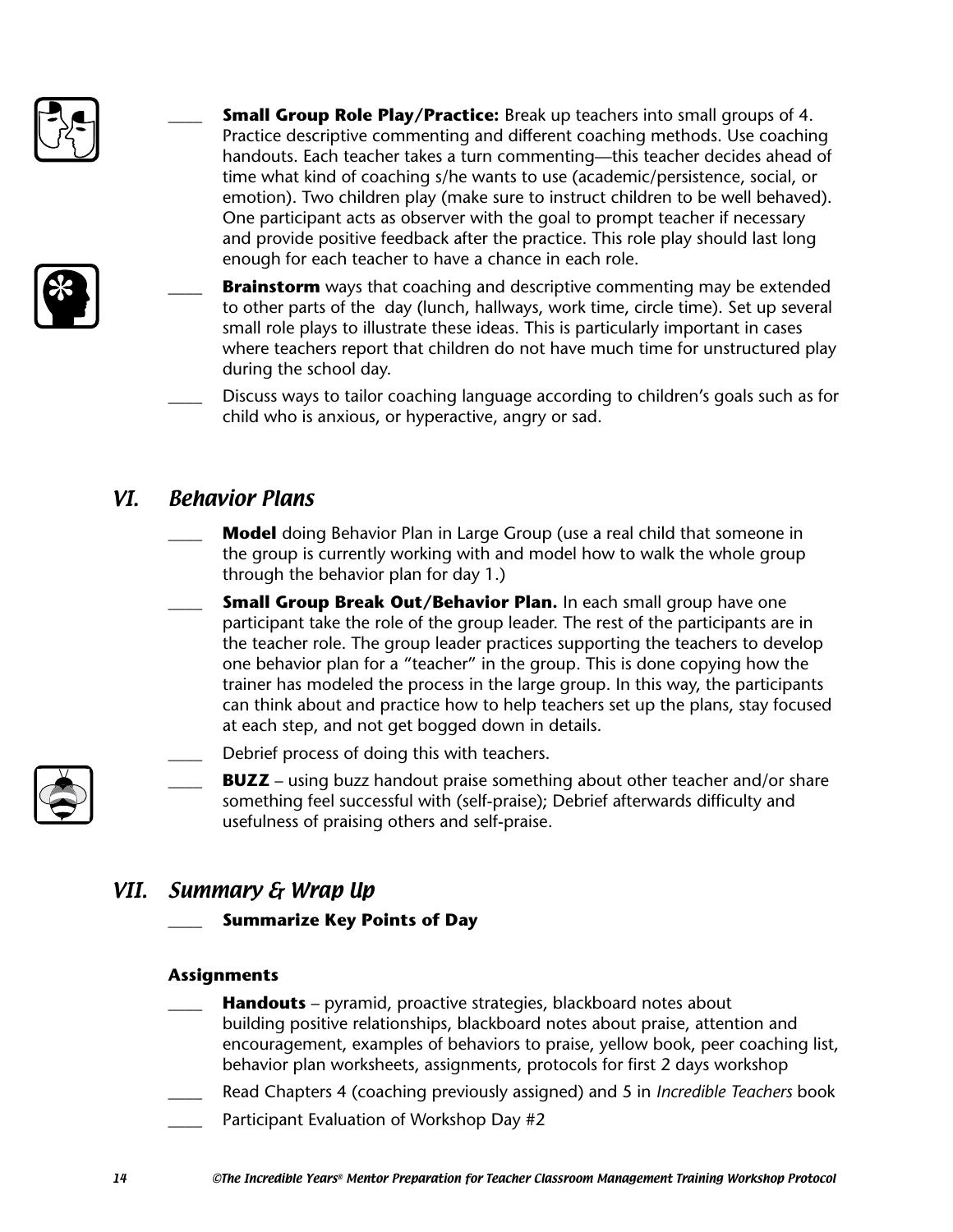

- **Small Group Role Play/Practice:** Break up teachers into small groups of 4. Practice descriptive commenting and different coaching methods. Use coaching handouts. Each teacher takes a turn commenting—this teacher decides ahead of time what kind of coaching s/he wants to use (academic/persistence, social, or emotion). Two children play (make sure to instruct children to be well behaved). One participant acts as observer with the goal to prompt teacher if necessary and provide positive feedback after the practice. This role play should last long enough for each teacher to have a chance in each role.
- **Brainstorm** ways that coaching and descriptive commenting may be extended to other parts of the day (lunch, hallways, work time, circle time). Set up several small role plays to illustrate these ideas. This is particularly important in cases where teachers report that children do not have much time for unstructured play during the school day.
- Discuss ways to tailor coaching language according to children's goals such as for child who is anxious, or hyperactive, angry or sad.

## VI. Behavior Plans

- **Model** doing Behavior Plan in Large Group (use a real child that someone in the group is currently working with and model how to walk the whole group through the behavior plan for day 1.)
- Small Group Break Out/Behavior Plan. In each small group have one participant take the role of the group leader. The rest of the participants are in the teacher role. The group leader practices supporting the teachers to develop one behavior plan for a "teacher" in the group. This is done copying how the trainer has modeled the process in the large group. In this way, the participants can think about and practice how to help teachers set up the plans, stay focused at each step, and not get bogged down in details.
- Debrief process of doing this with teachers.
	- **BUZZ** using buzz handout praise something about other teacher and/or share something feel successful with (self-praise); Debrief afterwards difficulty and usefulness of praising others and self-praise.

## VII. Summary & Wrap Up

\_\_\_\_ **Summarize Key Points of Day**

#### **Assignments**

- **Handouts** pyramid, proactive strategies, blackboard notes about building positive relationships, blackboard notes about praise, attention and encouragement, examples of behaviors to praise, yellow book, peer coaching list, behavior plan worksheets, assignments, protocols for first 2 days workshop
- \_\_\_\_ Read Chapters 4 (coaching previously assigned) and 5 in *Incredible Teachers* book
- Participant Evaluation of Workshop Day #2

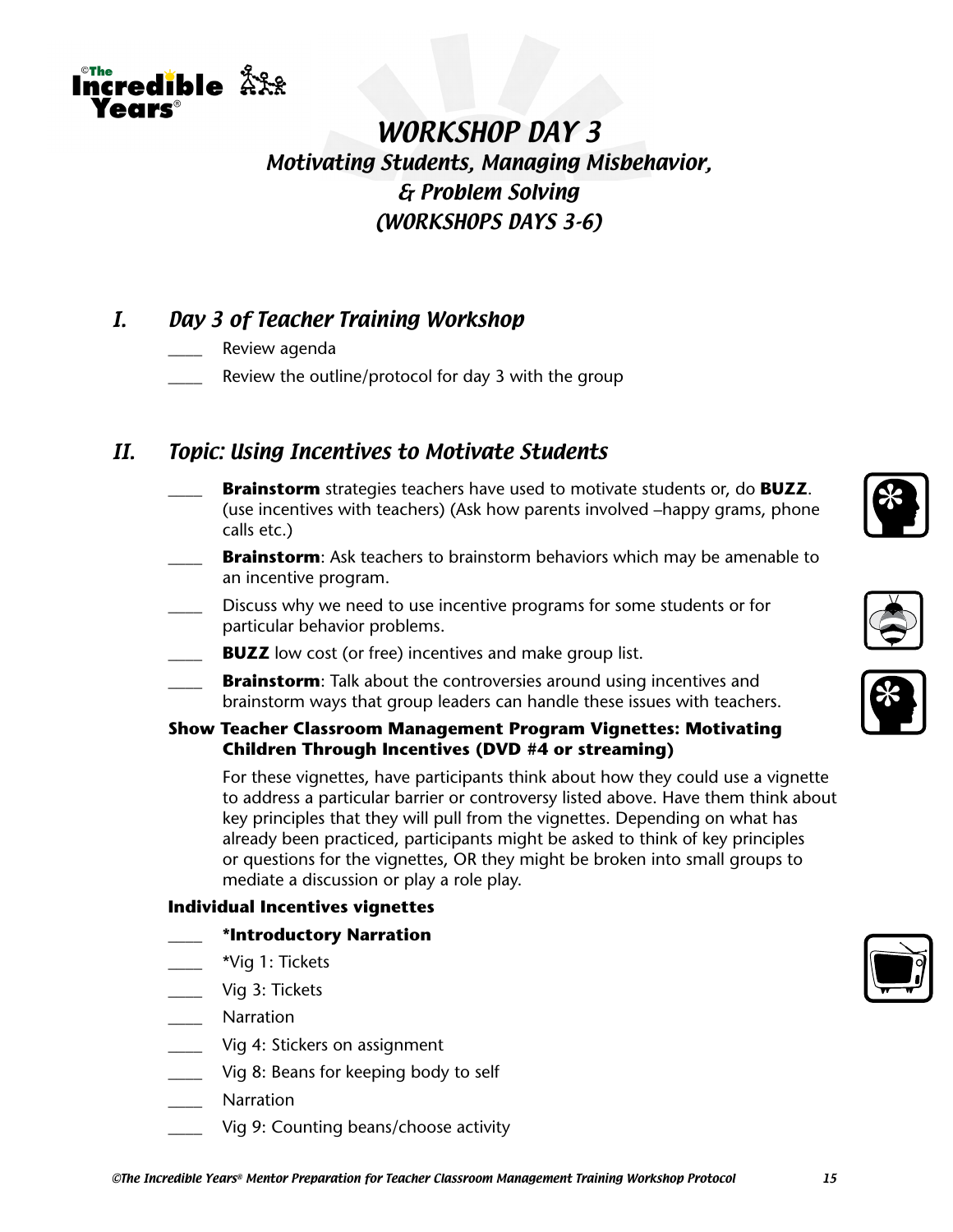

## I. Day 3 of Teacher Training Workshop

Review agenda

The credible  $\mathring{\mathbb{R}}$ XX

**ANKC** 

Review the outline/protocol for day 3 with the group

## II. Topic: Using Incentives to Motivate Students

- \_\_\_\_ **Brainstorm** strategies teachers have used to motivate students or, do **BUZZ**. (use incentives with teachers) (Ask how parents involved –happy grams, phone calls etc.)
- **Brainstorm**: Ask teachers to brainstorm behaviors which may be amenable to an incentive program.
- Discuss why we need to use incentive programs for some students or for particular behavior problems.
- **BUZZ** low cost (or free) incentives and make group list.
- **Brainstorm**: Talk about the controversies around using incentives and brainstorm ways that group leaders can handle these issues with teachers.
- **Show Teacher Classroom Management Program Vignettes: Motivating Children Through Incentives (DVD #4 or streaming)**

For these vignettes, have participants think about how they could use a vignette to address a particular barrier or controversy listed above. Have them think about key principles that they will pull from the vignettes. Depending on what has already been practiced, participants might be asked to think of key principles or questions for the vignettes, OR they might be broken into small groups to mediate a discussion or play a role play.

#### **Individual Incentives vignettes**

#### \_\_\_\_ **\*Introductory Narration**

- \_\_\_\_ \*Vig 1: Tickets
- \_\_\_\_ Vig 3: Tickets
- \_\_\_\_ Narration
- Vig 4: Stickers on assignment
- \_\_\_\_ Vig 8: Beans for keeping body to self
- \_\_\_\_ Narration
- Vig 9: Counting beans/choose activity







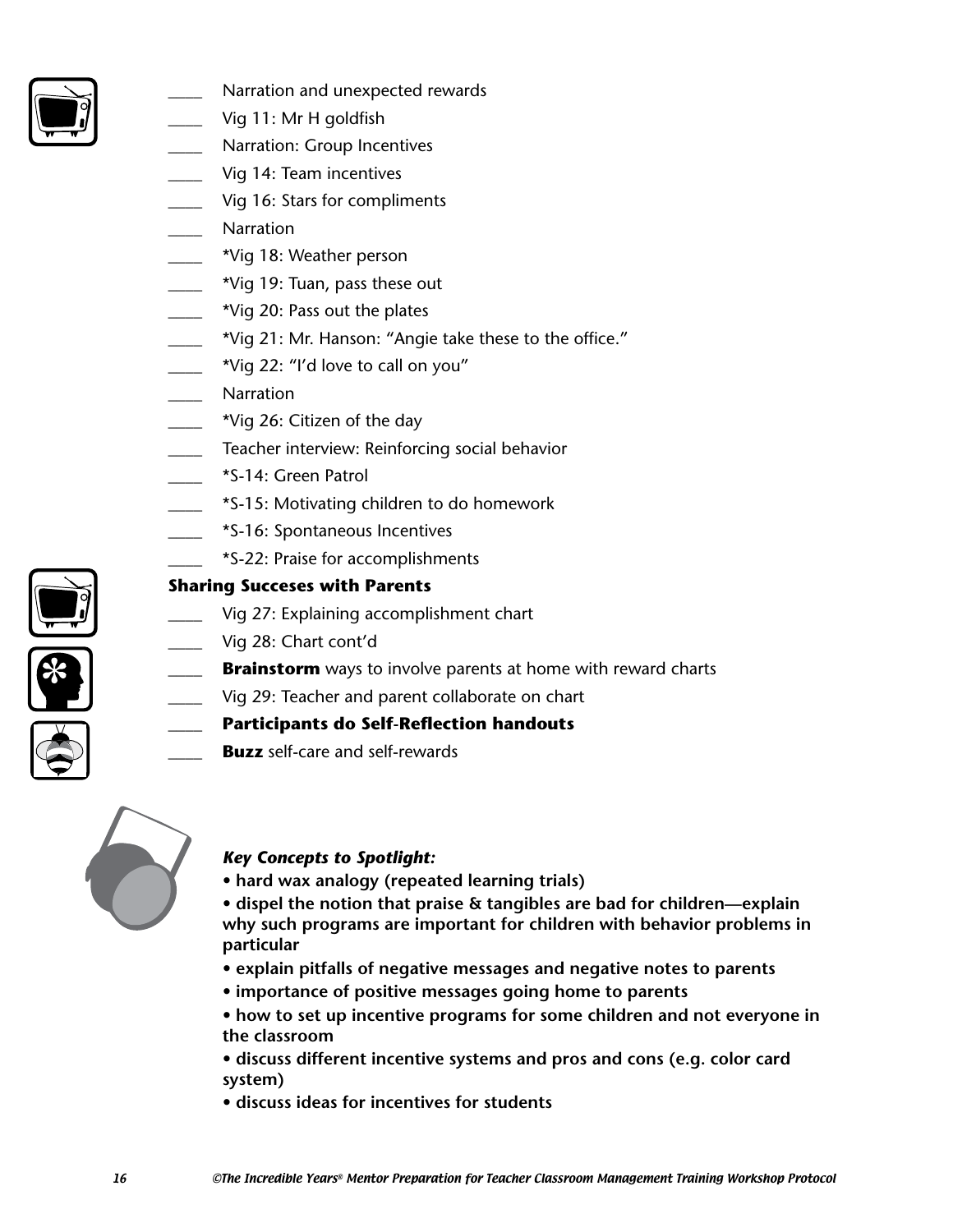

- Narration and unexpected rewards
- Vig 11: Mr H goldfish
- Narration: Group Incentives
- Vig 14: Team incentives
- Vig 16: Stars for compliments
- \_\_\_\_ Narration
- \_\_\_\_ \*Vig 18: Weather person
- \_\_\_\_ \*Vig 19: Tuan, pass these out
- \_\_\_\_ \*Vig 20: Pass out the plates
- \_\_\_\_ \*Vig 21: Mr. Hanson: "Angie take these to the office."
- $\mu$  \*Vig 22: "I'd love to call on you"
- Narration
- \*Vig 26: Citizen of the day
- \_\_\_\_ Teacher interview: Reinforcing social behavior
- \_\_\_\_ \*S-14: Green Patrol
- \_\_\_\_ \*S-15: Motivating children to do homework
- \_\_\_\_ \*S-16: Spontaneous Incentives
	- \_\_\_\_ \*S-22: Praise for accomplishments

#### **Sharing Succeses with Parents**

- Vig 27: Explaining accomplishment chart
- Vig 28: Chart cont'd
- **Brainstorm** ways to involve parents at home with reward charts
- Vig 29: Teacher and parent collaborate on chart

#### \_\_\_\_ **Participants do Self-Reflection handouts**

**Buzz** self-care and self-rewards



#### *Key Concepts to Spotlight:*

- **hard wax analogy (repeated learning trials)**
- **dispel the notion that praise & tangibles are bad for children—explain why such programs are important for children with behavior problems in particular**
- **explain pitfalls of negative messages and negative notes to parents**
- **importance of positive messages going home to parents**
- **how to set up incentive programs for some children and not everyone in the classroom**
- **discuss different incentive systems and pros and cons (e.g. color card system)**
- **discuss ideas for incentives for students**



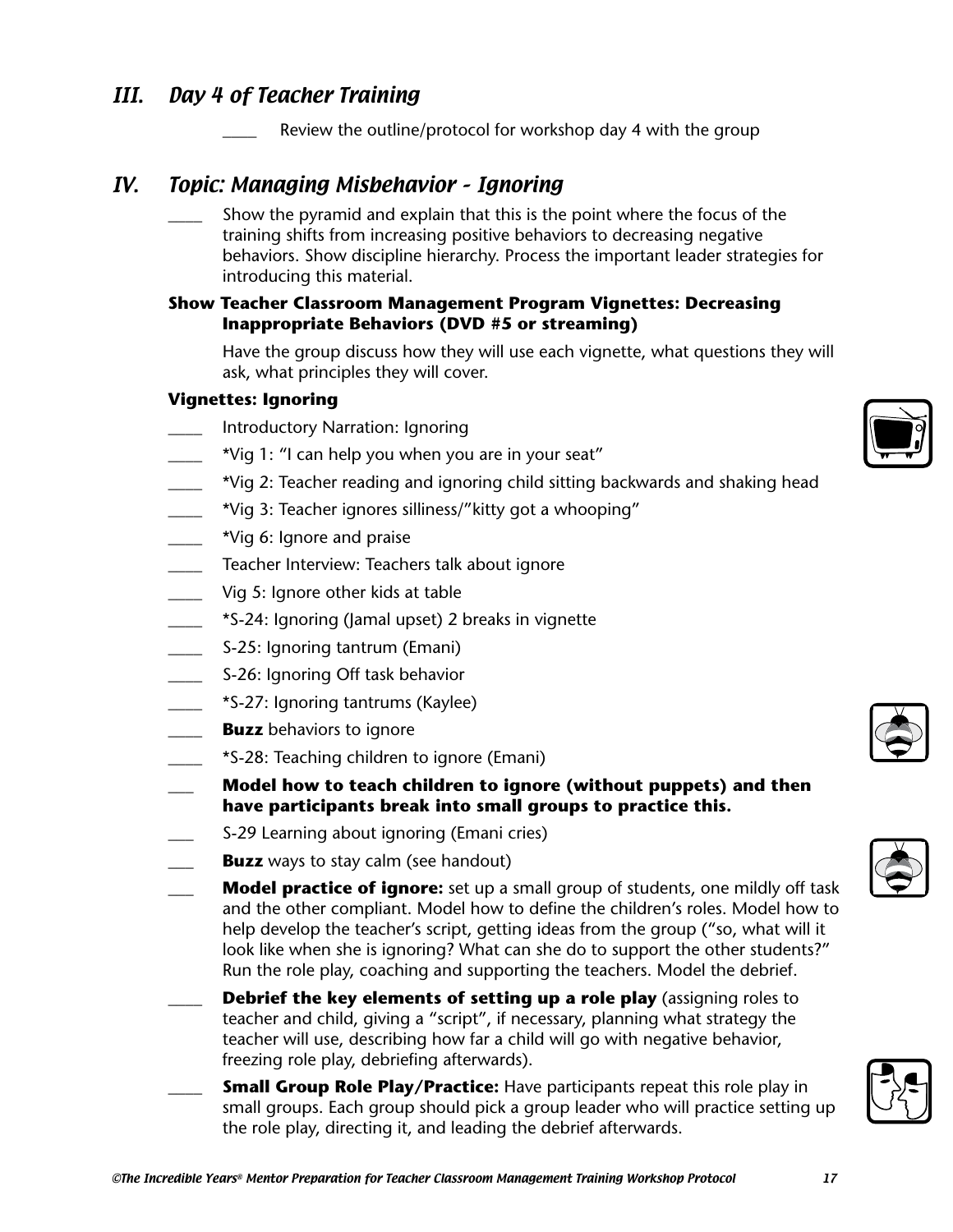## III. Day 4 of Teacher Training

Review the outline/protocol for workshop day 4 with the group

## IV. Topic: Managing Misbehavior – Ignoring

Show the pyramid and explain that this is the point where the focus of the training shifts from increasing positive behaviors to decreasing negative behaviors. Show discipline hierarchy. Process the important leader strategies for introducing this material.

#### **Show Teacher Classroom Management Program Vignettes: Decreasing Inappropriate Behaviors (DVD #5 or streaming)**

Have the group discuss how they will use each vignette, what questions they will ask, what principles they will cover.

#### **Vignettes: Ignoring**

- Introductory Narration: Ignoring
- \*Vig 1: "I can help you when you are in your seat"
- \_\_\_\_ \*Vig 2: Teacher reading and ignoring child sitting backwards and shaking head
- \_\_\_\_ \*Vig 3: Teacher ignores silliness/"kitty got a whooping"
- \_\_\_\_ \*Vig 6: Ignore and praise
- **Teacher Interview: Teachers talk about ignore**
- Vig 5: Ignore other kids at table
- \_\_\_\_ \*S-24: Ignoring (Jamal upset) 2 breaks in vignette
- \_\_\_\_ S-25: Ignoring tantrum (Emani)
- S-26: Ignoring Off task behavior
- \_\_\_\_ \*S-27: Ignoring tantrums (Kaylee)
- **Buzz** behaviors to ignore
- \_\_\_\_ \*S-28: Teaching children to ignore (Emani)
- \_\_\_ **Model how to teach children to ignore (without puppets) and then have participants break into small groups to practice this.**
- \_\_\_ S-29 Learning about ignoring (Emani cries)
- **Buzz** ways to stay calm (see handout)
- **Model practice of ignore:** set up a small group of students, one mildly off task and the other compliant. Model how to define the children's roles. Model how to help develop the teacher's script, getting ideas from the group ("so, what will it look like when she is ignoring? What can she do to support the other students?" Run the role play, coaching and supporting the teachers. Model the debrief.
- **Debrief the key elements of setting up a role play** (assigning roles to teacher and child, giving a "script", if necessary, planning what strategy the teacher will use, describing how far a child will go with negative behavior, freezing role play, debriefing afterwards).
- **Small Group Role Play/Practice:** Have participants repeat this role play in small groups. Each group should pick a group leader who will practice setting up the role play, directing it, and leading the debrief afterwards.







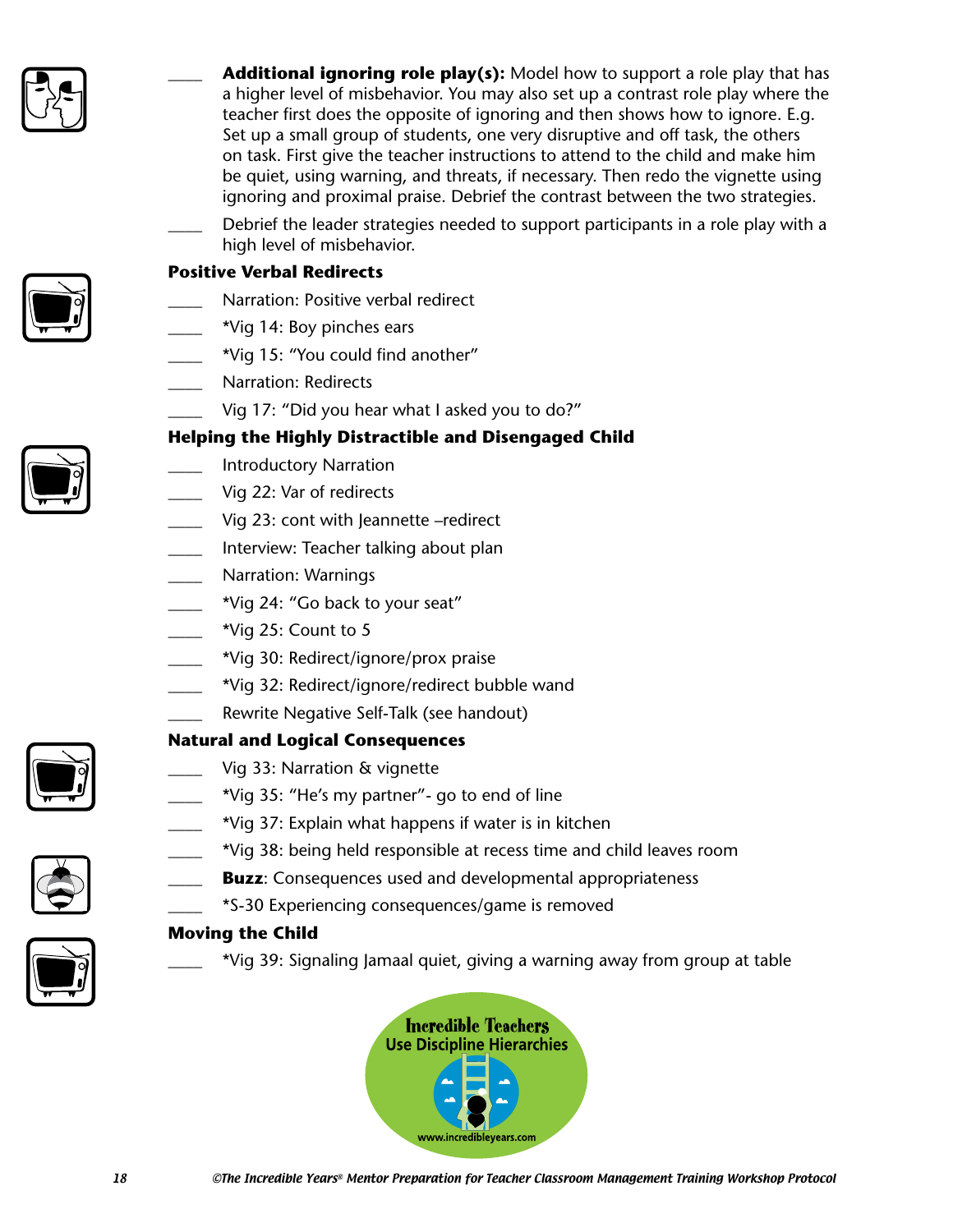

**Additional ignoring role play(s):** Model how to support a role play that has a higher level of misbehavior. You may also set up a contrast role play where the teacher first does the opposite of ignoring and then shows how to ignore. E.g. Set up a small group of students, one very disruptive and off task, the others on task. First give the teacher instructions to attend to the child and make him be quiet, using warning, and threats, if necessary. Then redo the vignette using ignoring and proximal praise. Debrief the contrast between the two strategies.

Debrief the leader strategies needed to support participants in a role play with a high level of misbehavior.



#### **Positive Verbal Redirects**

- Narration: Positive verbal redirect
- \_\_\_\_ \*Vig 14: Boy pinches ears
- \*Vig 15: "You could find another"
- Narration: Redirects
	- Vig 17: "Did you hear what I asked you to do?"

#### **Helping the Highly Distractible and Disengaged Child**

- \_\_\_\_ Introductory Narration
- Vig 22: Var of redirects
- Vig 23: cont with Jeannette –redirect
- \_\_\_\_ Interview: Teacher talking about plan
- Narration: Warnings
- \*Vig 24: "Go back to your seat"
- $\frac{1}{2}$  \*Vig 25: Count to 5
- \_\_\_\_ \*Vig 30: Redirect/ignore/prox praise
- \*Vig 32: Redirect/ignore/redirect bubble wand
	- Rewrite Negative Self-Talk (see handout)

#### **Natural and Logical Consequences**

- Vig 33: Narration & vignette
	- \_\_\_\_ \*Vig 35: "He's my partner"- go to end of line
	- \_\_\_\_ \*Vig 37: Explain what happens if water is in kitchen
- \_\_\_\_ \*Vig 38: being held responsible at recess time and child leaves room
- **Buzz**: Consequences used and developmental appropriateness
- \_\_\_\_ \*S-30 Experiencing consequences/game is removed

#### **Moving the Child**

\_\_\_\_ \*Vig 39: Signaling Jamaal quiet, giving a warning away from group at table







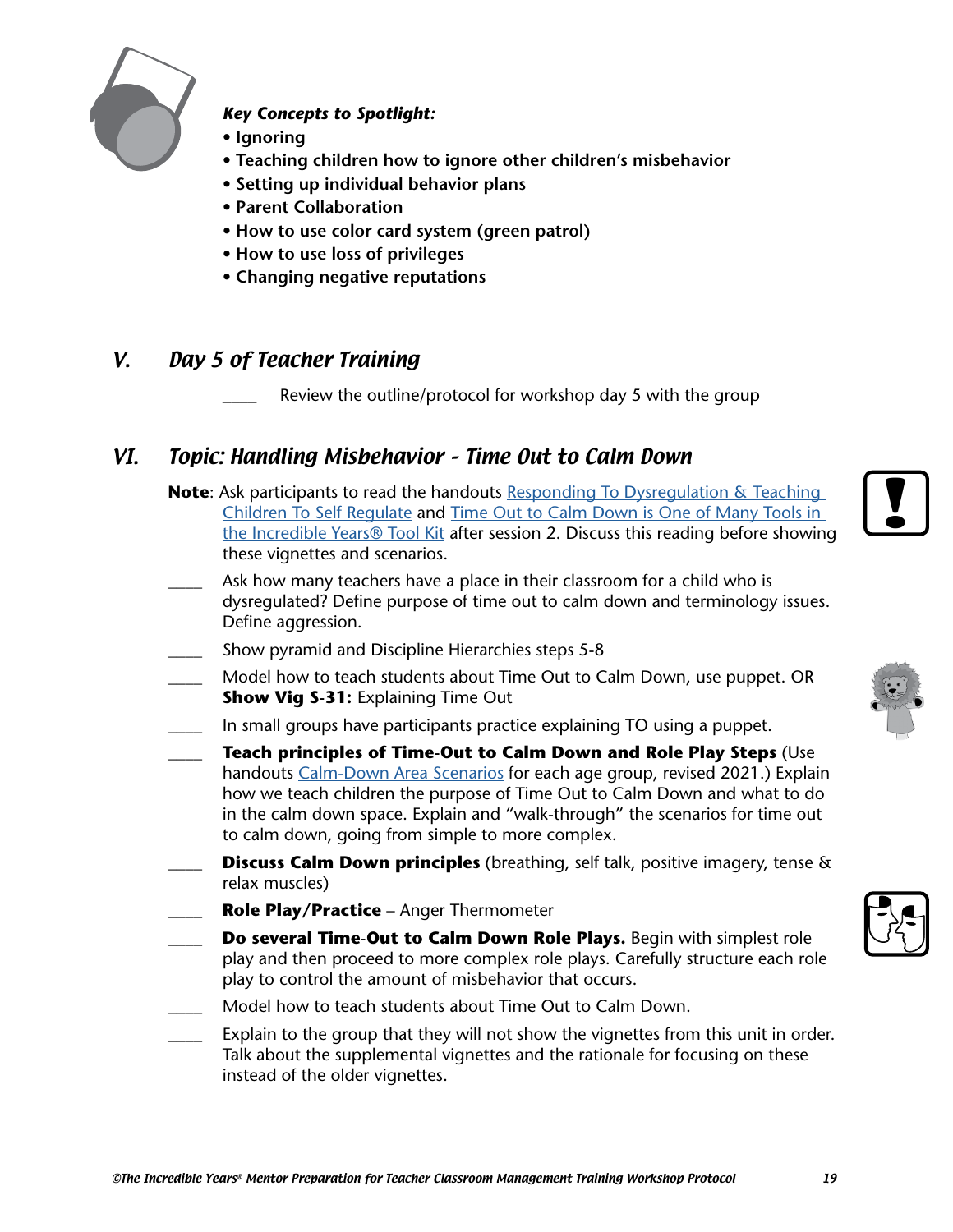

#### *Key Concepts to Spotlight:*

- **Ignoring**
- **Teaching children how to ignore other children's misbehavior**
- **Setting up individual behavior plans**
- **Parent Collaboration**
- **How to use color card system (green patrol)**
- **How to use loss of privileges**
- **Changing negative reputations**

## V. Day 5 of Teacher Training

Review the outline/protocol for workshop day 5 with the group

## VI. Topic: Handling Misbehavior – Time Out to Calm Down

- **Note**: Ask participants to read the handouts [Responding To Dysregulation & Teaching](https://incredibleyears.com/?wpfb_dl=1457)  [Children To Self Regulate](https://incredibleyears.com/?wpfb_dl=1457) and [Time Out to Calm Down is One of Many Tools in](https://incredibleyears.com/?wpfb_dl=2072)  [the Incredible Years® Tool Kit](https://incredibleyears.com/?wpfb_dl=2072) after session 2. Discuss this reading before showing these vignettes and scenarios.
- Ask how many teachers have a place in their classroom for a child who is dysregulated? Define purpose of time out to calm down and terminology issues. Define aggression.
- Show pyramid and Discipline Hierarchies steps 5-8
- \_\_\_\_ Model how to teach students about Time Out to Calm Down, use puppet. OR **Show Vig S-31: Explaining Time Out**
- In small groups have participants practice explaining TO using a puppet.
- \_\_\_\_ **Teach principles of Time-Out to Calm Down and Role Play Steps** (Use handouts [Calm-Down Area Scenarios](https://incredibleyears.com/?wpfb_dl=1995) for each age group, revised 2021.) Explain how we teach children the purpose of Time Out to Calm Down and what to do in the calm down space. Explain and "walk-through" the scenarios for time out to calm down, going from simple to more complex.
- **Discuss Calm Down principles** (breathing, self talk, positive imagery, tense & relax muscles)
- \_\_\_\_ **Role Play/Practice** Anger Thermometer
- \_\_\_\_ **Do several Time-Out to Calm Down Role Plays.** Begin with simplest role play and then proceed to more complex role plays. Carefully structure each role play to control the amount of misbehavior that occurs.
- Model how to teach students about Time Out to Calm Down.
- Explain to the group that they will not show the vignettes from this unit in order. Talk about the supplemental vignettes and the rationale for focusing on these instead of the older vignettes.





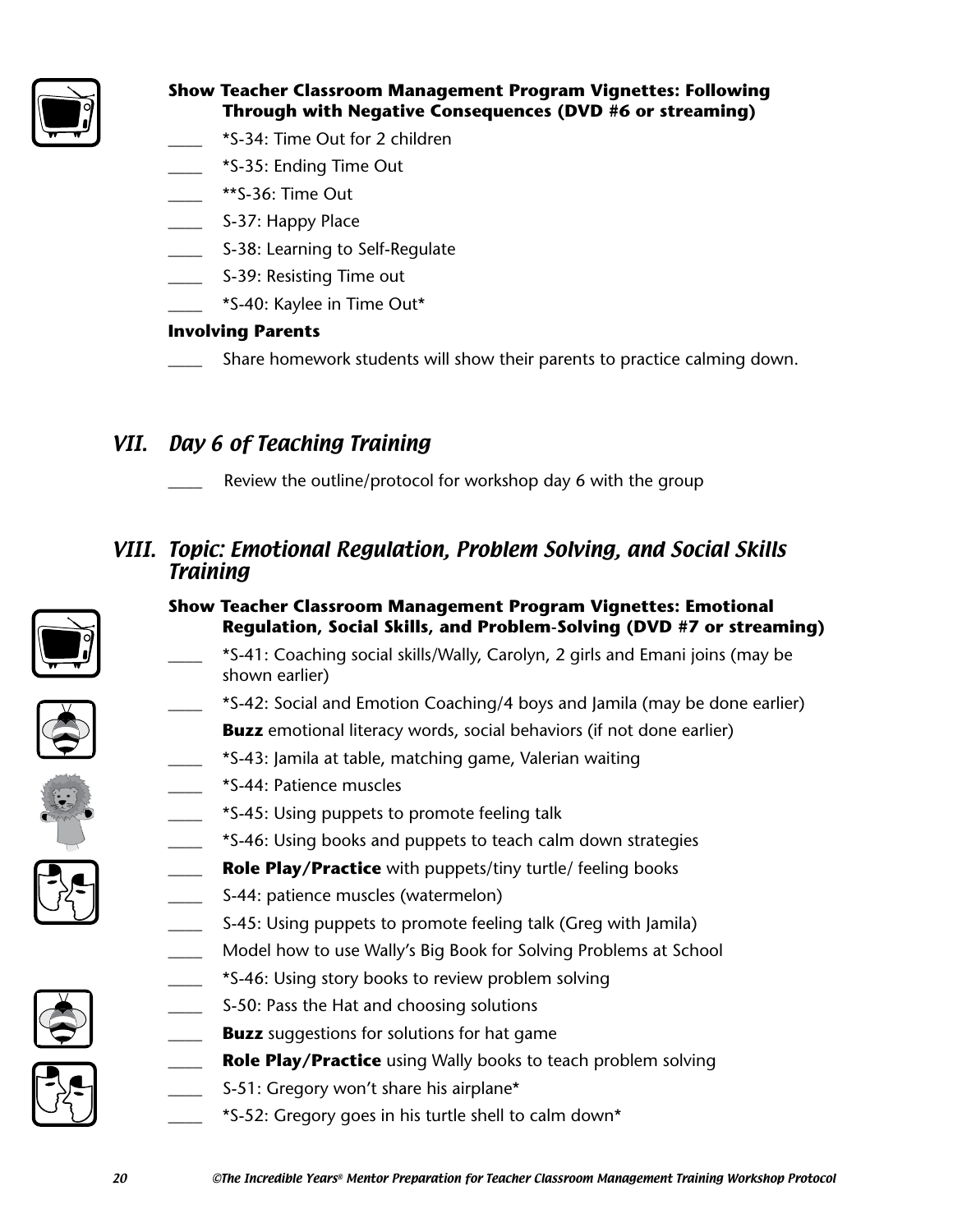

#### **Show Teacher Classroom Management Program Vignettes: Following Through with Negative Consequences (DVD #6 or streaming)**

- \_\_\_\_ \*S-34: Time Out for 2 children
- \_\_\_\_ \*S-35: Ending Time Out
- $**S-36:$  Time Out
- S-37: Happy Place
- S-38: Learning to Self-Regulate
- S-39: Resisting Time out
- \_\_\_\_ \*S-40: Kaylee in Time Out\*

#### **Involving Parents**

Share homework students will show their parents to practice calming down.

## VII. Day 6 of Teaching Training

Review the outline/protocol for workshop day 6 with the group

## VIII. Topic: Emotional Regulation, Problem Solving, and Social Skills Training



## **Show Teacher Classroom Management Program Vignettes: Emotional Regulation, Social Skills, and Problem-Solving (DVD #7 or streaming)**

- \_\_\_\_ \*S-41: Coaching social skills/Wally, Carolyn, 2 girls and Emani joins (may be shown earlier)
- \_\_\_\_ \*S-42: Social and Emotion Coaching/4 boys and Jamila (may be done earlier)
- **Buzz** emotional literacy words, social behaviors (if not done earlier)
- \_\_\_\_ \*S-43: Jamila at table, matching game, Valerian waiting
- \_\_\_\_ \*S-44: Patience muscles
- \_\_\_\_ \*S-45: Using puppets to promote feeling talk
- \_\_\_\_ \*S-46: Using books and puppets to teach calm down strategies
- **Role Play/Practice** with puppets/tiny turtle/ feeling books
- S-44: patience muscles (watermelon)
- S-45: Using puppets to promote feeling talk (Greg with Jamila)
- Model how to use Wally's Big Book for Solving Problems at School
- \_\_\_\_ \*S-46: Using story books to review problem solving
- S-50: Pass the Hat and choosing solutions
- **Buzz** suggestions for solutions for hat game
- Role Play/Practice using Wally books to teach problem solving
- S-51: Gregory won't share his airplane\*
- \_\_\_\_ \*S-52: Gregory goes in his turtle shell to calm down\*



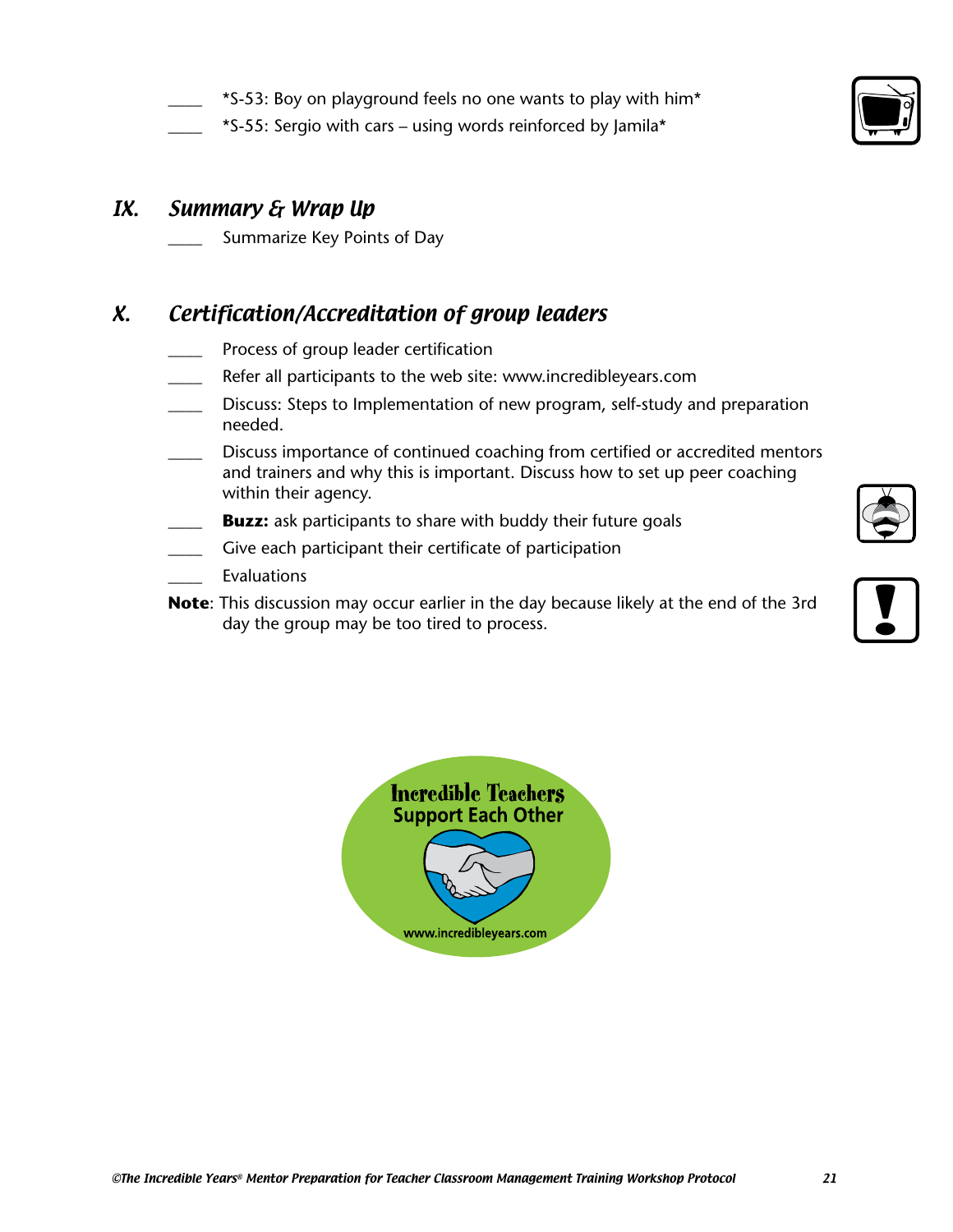- \*S-53: Boy on playground feels no one wants to play with him\*
- \*S-55: Sergio with cars using words reinforced by Jamila\*

## IX. Summary & Wrap Up

Summarize Key Points of Day

## X. Certification/Accreditation of group leaders

- Process of group leader certification
- Refer all participants to the web site: www.incredibleyears.com
- \_\_\_\_ Discuss: Steps to Implementation of new program, self-study and preparation needed.
- Discuss importance of continued coaching from certified or accredited mentors and trainers and why this is important. Discuss how to set up peer coaching within their agency.
- **Buzz:** ask participants to share with buddy their future goals
- Give each participant their certificate of participation
- **Evaluations**
- **Note**: This discussion may occur earlier in the day because likely at the end of the 3rd Give each participant their certificate of participation<br>Evaluations<br>This discussion may occur earlier in the day because likely at the end of the 3rd<br>day the group may be too tired to process.